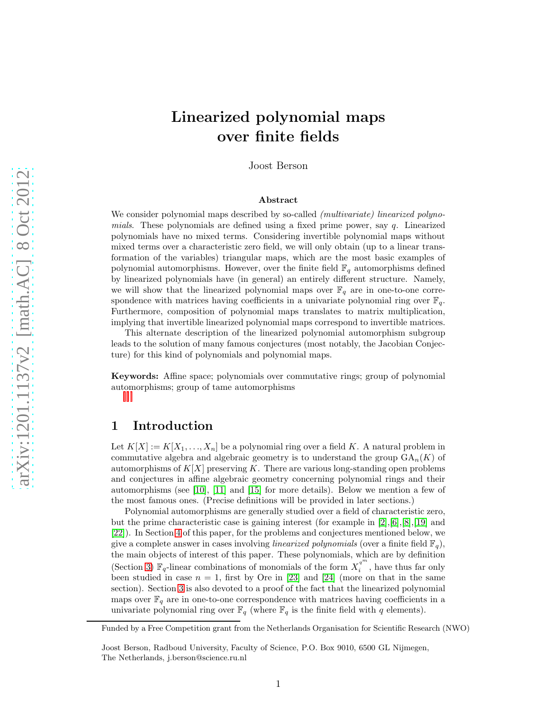# Linearized polynomial maps over finite fields

Joost Berson

#### Abstract

We consider polynomial maps described by so-called *(multivariate) linearized polyno*mials. These polynomials are defined using a fixed prime power, say  $q$ . Linearized polynomials have no mixed terms. Considering invertible polynomial maps without mixed terms over a characteristic zero field, we will only obtain (up to a linear transformation of the variables) triangular maps, which are the most basic examples of polynomial automorphisms. However, over the finite field  $\mathbb{F}_q$  automorphisms defined by linearized polynomials have (in general) an entirely different structure. Namely, we will show that the linearized polynomial maps over  $\mathbb{F}_q$  are in one-to-one correspondence with matrices having coefficients in a univariate polynomial ring over  $\mathbb{F}_q$ . Furthermore, composition of polynomial maps translates to matrix multiplication, implying that invertible linearized polynomial maps correspond to invertible matrices.

This alternate description of the linearized polynomial automorphism subgroup leads to the solution of many famous conjectures (most notably, the Jacobian Conjecture) for this kind of polynomials and polynomial maps.

Keywords: Affine space; polynomials over commutative rings; group of polynomial au[t](#page-0-0)[o](#page-0-1)[m](#page-0-2)orphisms; group of tame automorphisms

## 1 Introduction

Let  $K[X] := K[X_1, \ldots, X_n]$  be a polynomial ring over a field K. A natural problem in commutative algebra and algebraic geometry is to understand the group  $GA_n(K)$  of automorphisms of  $K[X]$  preserving K. There are various long-standing open problems and conjectures in affine algebraic geometry concerning polynomial rings and their automorphisms (see [\[10\]](#page-18-0), [\[11\]](#page-19-0) and [\[15\]](#page-19-1) for more details). Below we mention a few of the most famous ones. (Precise definitions will be provided in later sections.)

Polynomial automorphisms are generally studied over a field of characteristic zero, but the prime characteristic case is gaining interest (for example in  $[2], [6], [8], [19]$  $[2], [6], [8], [19]$  $[2], [6], [8], [19]$  $[2], [6], [8], [19]$  $[2], [6], [8], [19]$  $[2], [6], [8], [19]$  and [\[22\]](#page-19-3)). In Section [4](#page-5-0) of this paper, for the problems and conjectures mentioned below, we give a complete answer in cases involving *linearized polynomials* (over a finite field  $\mathbb{F}_q$ ), the main objects of interest of this paper. These polynomials, which are by definition (Section [3\)](#page-2-0)  $\mathbb{F}_q$ -linear combinations of monomials of the form  $X_i^{q^m}$  $\int_i^q$ , have thus far only been studied in case  $n = 1$ , first by Ore in [\[23\]](#page-19-4) and [\[24\]](#page-19-5) (more on that in the same section). Section [3](#page-2-0) is also devoted to a proof of the fact that the linearized polynomial maps over  $\mathbb{F}_q$  are in one-to-one correspondence with matrices having coefficients in a univariate polynomial ring over  $\mathbb{F}_q$  (where  $\mathbb{F}_q$  is the finite field with q elements).

<span id="page-0-0"></span>Funded by a Free Competition grant from the Netherlands Organisation for Scientific Research (NWO)

<span id="page-0-2"></span><span id="page-0-1"></span>Joost Berson, Radboud University, Faculty of Science, P.O. Box 9010, 6500 GL Nijmegen, The Netherlands, j.berson@science.ru.nl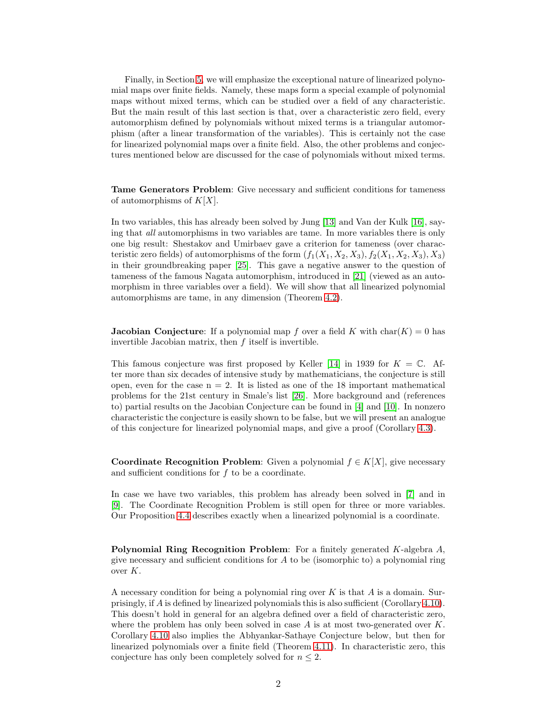Finally, in Section [5,](#page-14-0) we will emphasize the exceptional nature of linearized polynomial maps over finite fields. Namely, these maps form a special example of polynomial maps without mixed terms, which can be studied over a field of any characteristic. But the main result of this last section is that, over a characteristic zero field, every automorphism defined by polynomials without mixed terms is a triangular automorphism (after a linear transformation of the variables). This is certainly not the case for linearized polynomial maps over a finite field. Also, the other problems and conjectures mentioned below are discussed for the case of polynomials without mixed terms.

Tame Generators Problem: Give necessary and sufficient conditions for tameness of automorphisms of  $K[X]$ .

In two variables, this has already been solved by Jung [\[13\]](#page-19-6) and Van der Kulk [\[16\]](#page-19-7), saying that all automorphisms in two variables are tame. In more variables there is only one big result: Shestakov and Umirbaev gave a criterion for tameness (over characteristic zero fields) of automorphisms of the form  $(f_1(X_1, X_2, X_3), f_2(X_1, X_2, X_3), X_3)$ in their groundbreaking paper [\[25\]](#page-20-0). This gave a negative answer to the question of tameness of the famous Nagata automorphism, introduced in [\[21\]](#page-19-8) (viewed as an automorphism in three variables over a field). We will show that all linearized polynomial automorphisms are tame, in any dimension (Theorem [4.2\)](#page-6-0).

**Jacobian Conjecture**: If a polynomial map f over a field K with char $(K) = 0$  has invertible Jacobian matrix, then  $f$  itself is invertible.

This famous conjecture was first proposed by Keller [\[14\]](#page-19-9) in 1939 for  $K = \mathbb{C}$ . After more than six decades of intensive study by mathematicians, the conjecture is still open, even for the case  $n = 2$ . It is listed as one of the 18 important mathematical problems for the 21st century in Smale's list [\[26\]](#page-20-1). More background and (references to) partial results on the Jacobian Conjecture can be found in [\[4\]](#page-18-4) and [\[10\]](#page-18-0). In nonzero characteristic the conjecture is easily shown to be false, but we will present an analogue of this conjecture for linearized polynomial maps, and give a proof (Corollary [4.3\)](#page-6-1).

Coordinate Recognition Problem: Given a polynomial  $f \in K[X]$ , give necessary and sufficient conditions for f to be a coordinate.

In case we have two variables, this problem has already been solved in [\[7\]](#page-18-5) and in [\[9\]](#page-18-6). The Coordinate Recognition Problem is still open for three or more variables. Our Proposition [4.4](#page-7-0) describes exactly when a linearized polynomial is a coordinate.

**Polynomial Ring Recognition Problem:** For a finitely generated K-algebra  $A$ , give necessary and sufficient conditions for  $A$  to be (isomorphic to) a polynomial ring over K.

A necessary condition for being a polynomial ring over  $K$  is that  $A$  is a domain. Surprisingly, if A is defined by linearized polynomials this is also sufficient (Corollary [4.10\)](#page-10-0). This doesn't hold in general for an algebra defined over a field of characteristic zero, where the problem has only been solved in case  $A$  is at most two-generated over  $K$ . Corollary [4.10](#page-10-0) also implies the Abhyankar-Sathaye Conjecture below, but then for linearized polynomials over a finite field (Theorem [4.11\)](#page-10-1). In characteristic zero, this conjecture has only been completely solved for  $n \leq 2$ .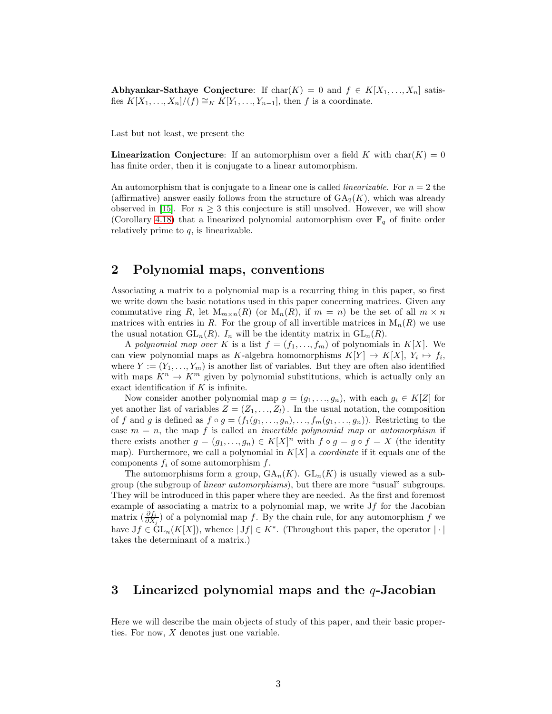Abhyankar-Sathaye Conjecture: If  $char(K) = 0$  and  $f \in K[X_1, \ldots, X_n]$  satisfies  $K[X_1, \ldots, X_n]/(f) \cong_K K[Y_1, \ldots, Y_{n-1}],$  then f is a coordinate.

Last but not least, we present the

**Linearization Conjecture:** If an automorphism over a field K with char( $K$ ) = 0 has finite order, then it is conjugate to a linear automorphism.

An automorphism that is conjugate to a linear one is called *linearizable*. For  $n = 2$  the (affirmative) answer easily follows from the structure of  $GA_2(K)$ , which was already observed in [\[15\]](#page-19-1). For  $n \geq 3$  this conjecture is still unsolved. However, we will show (Corollary [4.18\)](#page-14-1) that a linearized polynomial automorphism over  $\mathbb{F}_q$  of finite order relatively prime to  $q$ , is linearizable.

## 2 Polynomial maps, conventions

Associating a matrix to a polynomial map is a recurring thing in this paper, so first we write down the basic notations used in this paper concerning matrices. Given any commutative ring R, let  $M_{m \times n}(R)$  (or  $M_n(R)$ , if  $m = n$ ) be the set of all  $m \times n$ matrices with entries in R. For the group of all invertible matrices in  $M_n(R)$  we use the usual notation  $GL_n(R)$ .  $I_n$  will be the identity matrix in  $GL_n(R)$ .

A polynomial map over K is a list  $f = (f_1, \ldots, f_m)$  of polynomials in  $K[X]$ . We can view polynomial maps as K-algebra homomorphisms  $K[Y] \to K[X], Y_i \mapsto f_i$ , where  $Y := (Y_1, \ldots, Y_m)$  is another list of variables. But they are often also identified with maps  $K^n \to K^m$  given by polynomial substitutions, which is actually only an exact identification if  $K$  is infinite.

Now consider another polynomial map  $g = (g_1, \ldots, g_n)$ , with each  $g_i \in K[Z]$  for yet another list of variables  $Z = (Z_1, \ldots, Z_l)$ . In the usual notation, the composition of f and g is defined as  $f \circ g = (f_1(g_1, \ldots, g_n), \ldots, f_m(g_1, \ldots, g_n))$ . Restricting to the case  $m = n$ , the map f is called an *invertible polynomial map* or *automorphism* if there exists another  $g = (g_1, ..., g_n) \in K[X]^n$  with  $f \circ g = g \circ f = X$  (the identity map). Furthermore, we call a polynomial in  $K[X]$  a *coordinate* if it equals one of the components  $f_i$  of some automorphism  $f$ .

The automorphisms form a group,  $\text{GA}_n(K)$ .  $\text{GL}_n(K)$  is usually viewed as a subgroup (the subgroup of linear automorphisms), but there are more "usual" subgroups. They will be introduced in this paper where they are needed. As the first and foremost example of associating a matrix to a polynomial map, we write  $Jf$  for the Jacobian matrix  $(\frac{\partial f_i}{\partial X_j})$  of a polynomial map f. By the chain rule, for any automorphism f we have  $Jf \in GL_n(K[X])$ , whence  $|Jf| \in K^*$ . (Throughout this paper, the operator  $|\cdot|$ takes the determinant of a matrix.)

## <span id="page-2-0"></span>3 Linearized polynomial maps and the  $q$ -Jacobian

Here we will describe the main objects of study of this paper, and their basic properties. For now, X denotes just one variable.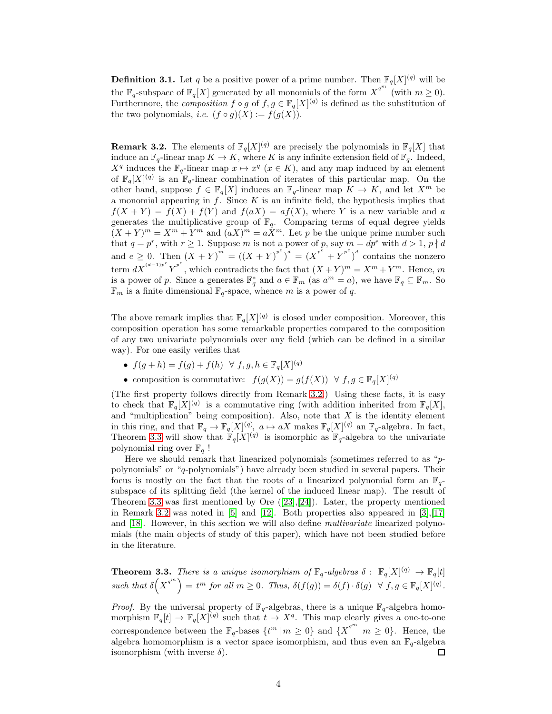**Definition 3.1.** Let q be a positive power of a prime number. Then  $\mathbb{F}_q[X]^{(q)}$  will be the  $\mathbb{F}_q$ -subspace of  $\mathbb{F}_q[X]$  generated by all monomials of the form  $X^{q^m}$  (with  $m \geq 0$ ). Furthermore, the *composition*  $f \circ g$  of  $f, g \in \mathbb{F}_q[X]^{(q)}$  is defined as the substitution of the two polynomials, *i.e.*  $(f \circ g)(X) := f(g(X)).$ 

<span id="page-3-0"></span>**Remark 3.2.** The elements of  $\mathbb{F}_q[X]^{(q)}$  are precisely the polynomials in  $\mathbb{F}_q[X]$  that induce an  $\mathbb{F}_q$ -linear map  $K \to K$ , where K is any infinite extension field of  $\mathbb{F}_q$ . Indeed,  $X^q$  induces the  $\mathbb{F}_q$ -linear map  $x \mapsto x^q$   $(x \in K)$ , and any map induced by an element of  $\mathbb{F}_q[X]^{(q)}$  is an  $\mathbb{F}_q$ -linear combination of iterates of this particular map. On the other hand, suppose  $f \in \mathbb{F}_q[X]$  induces an  $\mathbb{F}_q$ -linear map  $K \to K$ , and let  $X^m$  be a monomial appearing in  $f$ . Since  $K$  is an infinite field, the hypothesis implies that  $f(X + Y) = f(X) + f(Y)$  and  $f(aX) = af(X)$ , where Y is a new variable and a generates the multiplicative group of  $\mathbb{F}_q$ . Comparing terms of equal degree yields  $(X + Y)^m = X^m + Y^m$  and  $(aX)^m = aX^m$ . Let p be the unique prime number such that  $q = p^r$ , with  $r \ge 1$ . Suppose m is not a power of p, say  $m = dp^e$  with  $d > 1$ ,  $p \nmid d$ and  $e \geq 0$ . Then  $(X + Y)^{m} = ((X + Y)^{p^e})^d = (X^{p^e} + Y^{p^e})^d$  contains the nonzero term  $dX^{(d-1)p^e} Y^{p^e}$ , which contradicts the fact that  $(X+Y)^m = X^m + Y^m$ . Hence, m is a power of p. Since a generates  $\mathbb{F}_q^*$  and  $a \in \mathbb{F}_m$  (as  $a^m = a$ ), we have  $\mathbb{F}_q \subseteq \mathbb{F}_m$ . So  $\mathbb{F}_m$  is a finite dimensional  $\mathbb{F}_q$ -space, whence m is a power of q.

The above remark implies that  $\mathbb{F}_q[X]^{(q)}$  is closed under composition. Moreover, this composition operation has some remarkable properties compared to the composition of any two univariate polynomials over any field (which can be defined in a similar way). For one easily verifies that

- $f(g+h) = f(g) + f(h) \forall f, g, h \in \mathbb{F}_q[X]^{(q)}$
- composition is commutative:  $f(g(X)) = g(f(X)) \ \forall f, g \in \mathbb{F}_q[X]^{(q)}$

(The first property follows directly from Remark [3.2.](#page-3-0)) Using these facts, it is easy to check that  $\mathbb{F}_q[X]^{(q)}$  is a commutative ring (with addition inherited from  $\mathbb{F}_q[X]$ , and "multiplication" being composition). Also, note that  $X$  is the identity element in this ring, and that  $\mathbb{F}_q \to \mathbb{F}_q[X]^{(q)}$ ,  $a \mapsto aX$  makes  $\mathbb{F}_q[X]^{(q)}$  an  $\mathbb{F}_q$ -algebra. In fact, Theorem [3.3](#page-3-1) will show that  $\mathbb{F}_q[X]^{(q)}$  is isomorphic as  $\mathbb{F}_q$ -algebra to the univariate polynomial ring over  $\mathbb{F}_q$  !

Here we should remark that linearized polynomials (sometimes referred to as "ppolynomials" or "q-polynomials") have already been studied in several papers. Their focus is mostly on the fact that the roots of a linearized polynomial form an  $\mathbb{F}_q$ subspace of its splitting field (the kernel of the induced linear map). The result of Theorem [3.3](#page-3-1) was first mentioned by Ore  $([23],[24])$  $([23],[24])$  $([23],[24])$  $([23],[24])$  $([23],[24])$ . Later, the property mentioned in Remark [3.2](#page-3-0) was noted in  $\vert 5 \vert$  and  $\vert 12 \vert$ . Both properties also appeared in  $\vert 3 \vert, \vert 17 \vert$ and [\[18\]](#page-19-12). However, in this section we will also define multivariate linearized polynomials (the main objects of study of this paper), which have not been studied before in the literature.

<span id="page-3-1"></span>**Theorem 3.3.** There is a unique isomorphism of  $\mathbb{F}_q$ -algebras  $\delta : \mathbb{F}_q[X]^{(q)} \to \mathbb{F}_q[t]$ such that  $\delta\left(X^{q^m}\right) = t^m$  for all  $m \geq 0$ . Thus,  $\delta(f(g)) = \delta(f) \cdot \delta(g) \ \ \forall \ f, g \in \mathbb{F}_q[X]^{(q)}$ .

*Proof.* By the universal property of  $\mathbb{F}_q$ -algebras, there is a unique  $\mathbb{F}_q$ -algebra homomorphism  $\mathbb{F}_q[t] \to \mathbb{F}_q[X]^{(q)}$  such that  $t \mapsto X^q$ . This map clearly gives a one-to-one correspondence between the  $\mathbb{F}_q$ -bases  $\{t^m | m \geq 0\}$  and  $\{X^{q^m} | m \geq 0\}$ . Hence, the algebra homomorphism is a vector space isomorphism, and thus even an  $\mathbb{F}_q$ -algebra isomorphism (with inverse  $\delta$ ). 口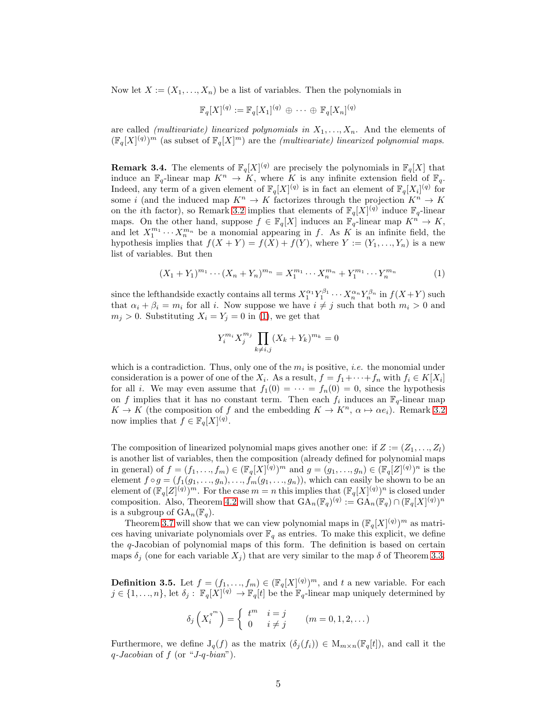Now let  $X := (X_1, \ldots, X_n)$  be a list of variables. Then the polynomials in

$$
\mathbb{F}_q[X]^{(q)} := \mathbb{F}_q[X_1]^{(q)} \, \oplus \, \cdots \, \oplus \, \mathbb{F}_q[X_n]^{(q)}
$$

are called *(multivariate) linearized polynomials in*  $X_1, \ldots, X_n$ . And the elements of  $(\mathbb{F}_q[X]^{(q)})^m$  (as subset of  $\mathbb{F}_q[X]^m$ ) are the *(multivariate)* linearized polynomial maps.

**Remark 3.4.** The elements of  $\mathbb{F}_q[X]^{(q)}$  are precisely the polynomials in  $\mathbb{F}_q[X]$  that induce an  $\mathbb{F}_q$ -linear map  $K^n \to K$ , where K is any infinite extension field of  $\mathbb{F}_q$ . Indeed, any term of a given element of  $\mathbb{F}_q[X]^{(q)}$  is in fact an element of  $\mathbb{F}_q[X_i]^{(q)}$  for some i (and the induced map  $K^n \to K$  factorizes through the projection  $K^n \to K$ on the *i*th factor), so Remark [3.2](#page-3-0) implies that elements of  $\mathbb{F}_q[X]^{(q)}$  induce  $\mathbb{F}_q$ -linear maps. On the other hand, suppose  $f \in \mathbb{F}_q[X]$  induces an  $\mathbb{F}_q$ -linear map  $K^n \to K$ , and let  $X_1^{m_1}\cdots X_n^{m_n}$  be a monomial appearing in f. As K is an infinite field, the hypothesis implies that  $f(X + Y) = f(X) + f(Y)$ , where  $Y := (Y_1, \ldots, Y_n)$  is a new list of variables. But then

<span id="page-4-0"></span>
$$
(X_1 + Y_1)^{m_1} \cdots (X_n + Y_n)^{m_n} = X_1^{m_1} \cdots X_n^{m_n} + Y_1^{m_1} \cdots Y_n^{m_n}
$$
 (1)

since the lefthandside exactly contains all terms  $X_1^{\alpha_1} Y_1^{\beta_1} \cdots X_n^{\alpha_n} Y_n^{\beta_n}$  in  $f(X+Y)$  such that  $\alpha_i + \beta_i = m_i$  for all i. Now suppose we have  $i \neq j$  such that both  $m_i > 0$  and  $m_j > 0$ . Substituting  $X_i = Y_j = 0$  in [\(1\)](#page-4-0), we get that

$$
Y_i^{m_i} X_j^{m_j} \prod_{k \neq i,j} (X_k + Y_k)^{m_k} = 0
$$

which is a contradiction. Thus, only one of the  $m_i$  is positive, *i.e.* the monomial under consideration is a power of one of the  $X_i$ . As a result,  $f = f_1 + \cdots + f_n$  with  $f_i \in K[X_i]$ for all *i*. We may even assume that  $f_1(0) = \cdots = f_n(0) = 0$ , since the hypothesis on f implies that it has no constant term. Then each  $f_i$  induces an  $\mathbb{F}_q$ -linear map  $K \to K$  (the composition of f and the embedding  $K \to K^n$ ,  $\alpha \mapsto \alpha e_i$ ). Remark [3.2](#page-3-0) now implies that  $f \in \mathbb{F}_q[X]^{(q)}$ .

The composition of linearized polynomial maps gives another one: if  $Z := (Z_1, \ldots, Z_l)$ is another list of variables, then the composition (already defined for polynomial maps in general) of  $f = (f_1, ..., f_m) \in (\mathbb{F}_q[X]^{(q)})^m$  and  $g = (g_1, ..., g_n) \in (\mathbb{F}_q[Z]^{(q)})^n$  is the element  $f \circ g = (f_1(g_1, \ldots, g_n), \ldots, f_m(g_1, \ldots, g_n)),$  which can easily be shown to be an element of  $(\mathbb{F}_q[Z]^{(q)})^m$ . For the case  $m = n$  this implies that  $(\mathbb{F}_q[X]^{(q)})^n$  is closed under composition. Also, Theorem [4.2](#page-6-0) will show that  $GA_n(\mathbb{F}_q)^{(q)} := GA_n(\mathbb{F}_q) \cap (\mathbb{F}_q[X]^{(q)})^n$ is a subgroup of  $GA_n(\mathbb{F}_q)$ .

Theorem [3.7](#page-5-1) will show that we can view polynomial maps in  $(\mathbb{F}_q[X](q))^m$  as matrices having univariate polynomials over  $\mathbb{F}_q$  as entries. To make this explicit, we define the  $q$ -Jacobian of polynomial maps of this form. The definition is based on certain maps  $\delta_i$  (one for each variable  $X_i$ ) that are very similar to the map  $\delta$  of Theorem [3.3.](#page-3-1)

**Definition 3.5.** Let  $f = (f_1, \ldots, f_m) \in (\mathbb{F}_q[X]^{(q)})^m$ , and t a new variable. For each  $j \in \{1, \ldots, n\}$ , let  $\delta_j : \mathbb{F}_q[X]^{(q)} \to \mathbb{F}_q[t]$  be the  $\mathbb{F}_q$ -linear map uniquely determined by

$$
\delta_j\left(X_i^{q^m}\right) = \begin{cases} t^m & i = j \\ 0 & i \neq j \end{cases} \quad (m = 0, 1, 2, \dots)
$$

Furthermore, we define  $J_q(f)$  as the matrix  $(\delta_j(f_i)) \in M_{m \times n}(\mathbb{F}_q[t])$ , and call it the  $q$ -Jacobian of  $f$  (or "J-q-bian").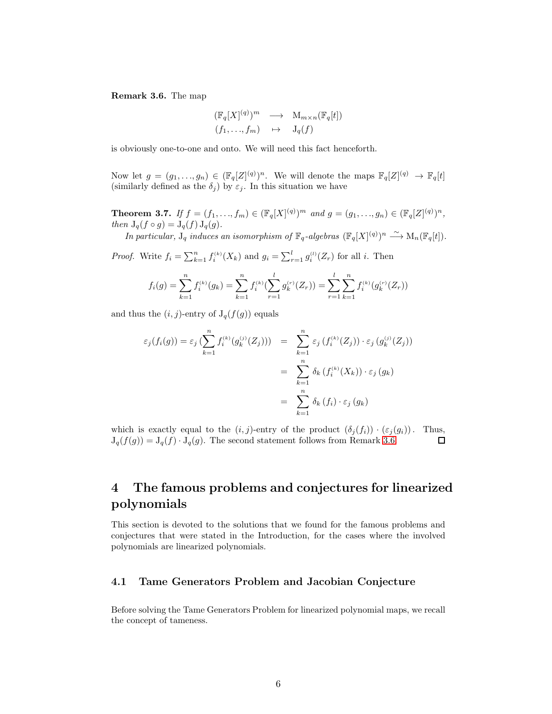<span id="page-5-2"></span>Remark 3.6. The map

$$
\begin{array}{ccc} (\mathbb{F}_q[X]^{(q)})^m & \longrightarrow & \mathrm{M}_{m \times n}(\mathbb{F}_q[t]) \\ (f_1, \ldots, f_m) & \mapsto & \mathrm{J}_q(f) \end{array}
$$

is obviously one-to-one and onto. We will need this fact henceforth.

Now let  $g = (g_1, \ldots, g_n) \in (\mathbb{F}_q[Z]^{(q)})^n$ . We will denote the maps  $\mathbb{F}_q[Z]^{(q)} \to \mathbb{F}_q[t]$ (similarly defined as the  $\delta_j$ ) by  $\varepsilon_j$ . In this situation we have

<span id="page-5-1"></span>**Theorem 3.7.** If  $f = (f_1, ..., f_m) \in (\mathbb{F}_q[X]^{(q)})^m$  and  $g = (g_1, ..., g_n) \in (\mathbb{F}_q[Z]^{(q)})^n$ , then  $J_q(f \circ g) = J_q(f) J_q(g)$ .

In particular,  $J_q$  induces an isomorphism of  $\mathbb{F}_q$ -algebras  $(\mathbb{F}_q[X]^{(q)})^n \stackrel{\sim}{\longrightarrow} \mathrm{M}_n(\mathbb{F}_q[t])$ .

*Proof.* Write  $f_i = \sum_{k=1}^n f_i^{(k)}(X_k)$  and  $g_i = \sum_{r=1}^l g_i^{(l)}(Z_r)$  for all i. Then

$$
f_i(g) = \sum_{k=1}^n f_i^{(k)}(g_k) = \sum_{k=1}^n f_i^{(k)}(\sum_{r=1}^l g_k^{(r)}(Z_r)) = \sum_{r=1}^l \sum_{k=1}^n f_i^{(k)}(g_k^{(r)}(Z_r))
$$

and thus the  $(i, j)$ -entry of  $J_q(f(g))$  equals

$$
\varepsilon_j(f_i(g)) = \varepsilon_j \left( \sum_{k=1}^n f_i^{(k)}(g_k^{(j)}(Z_j)) \right) = \sum_{k=1}^n \varepsilon_j \left( f_i^{(k)}(Z_j) \right) \cdot \varepsilon_j \left( g_k^{(j)}(Z_j) \right)
$$

$$
= \sum_{k=1}^n \delta_k \left( f_i^{(k)}(X_k) \right) \cdot \varepsilon_j \left( g_k \right)
$$

$$
= \sum_{k=1}^n \delta_k \left( f_i \right) \cdot \varepsilon_j \left( g_k \right)
$$

which is exactly equal to the  $(i, j)$ -entry of the product  $(\delta_i(f_i)) \cdot (\varepsilon_i(g_i))$ . Thus,  $J_q(f(g)) = J_q(f) \cdot J_q(g)$ . The second statement follows from Remark [3.6.](#page-5-2)  $\Box$ 

## <span id="page-5-0"></span>4 The famous problems and conjectures for linearized polynomials

This section is devoted to the solutions that we found for the famous problems and conjectures that were stated in the Introduction, for the cases where the involved polynomials are linearized polynomials.

#### 4.1 Tame Generators Problem and Jacobian Conjecture

Before solving the Tame Generators Problem for linearized polynomial maps, we recall the concept of tameness.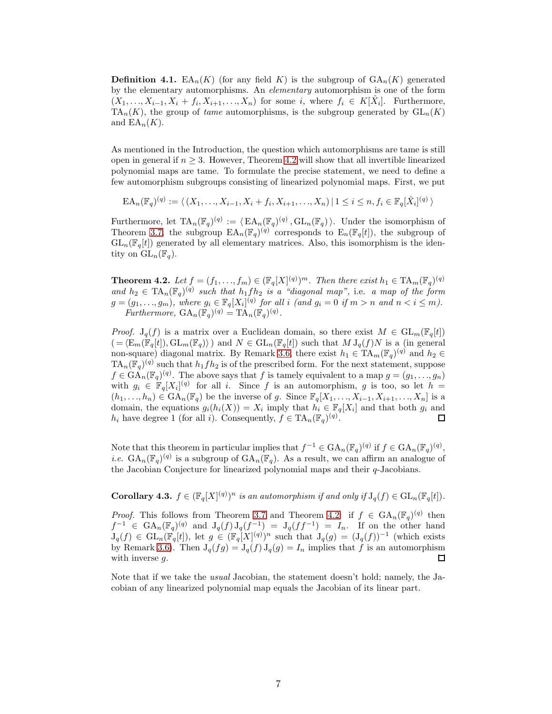**Definition 4.1.** EA<sub>n</sub>(K) (for any field K) is the subgroup of  $GA_n(K)$  generated by the elementary automorphisms. An elementary automorphism is one of the form  $(X_1, \ldots, X_{i-1}, X_i + f_i, X_{i+1}, \ldots, X_n)$  for some i, where  $f_i \in K[\hat{X}_i]$ . Furthermore,  $TA_n(K)$ , the group of tame automorphisms, is the subgroup generated by  $GL_n(K)$ and  $EA_n(K)$ .

As mentioned in the Introduction, the question which automorphisms are tame is still open in general if  $n \geq 3$ . However, Theorem [4.2](#page-6-0) will show that all invertible linearized polynomial maps are tame. To formulate the precise statement, we need to define a few automorphism subgroups consisting of linearized polynomial maps. First, we put

 $\text{EA}_n(\mathbb{F}_q)^{(q)} := \langle (X_1, \ldots, X_{i-1}, X_i + f_i, X_{i+1}, \ldots, X_n) | 1 \leq i \leq n, f_i \in \mathbb{F}_q[\hat{X}_i]^{(q)} \rangle$ 

Furthermore, let  $\mathrm{TA}_n(\mathbb{F}_q)^{(q)} := \langle \mathrm{EA}_n(\mathbb{F}_q)^{(q)}, \mathrm{GL}_n(\mathbb{F}_q) \rangle$ . Under the isomorphism of Theorem [3.7,](#page-5-1) the subgroup  $EA_n(\mathbb{F}_q)^{(q)}$  corresponds to  $E_n(\mathbb{F}_q[t])$ , the subgroup of  $GL_n(\mathbb{F}_q[t])$  generated by all elementary matrices. Also, this isomorphism is the identity on  $\mathrm{GL}_n(\mathbb{F}_q)$ .

<span id="page-6-0"></span>**Theorem 4.2.** Let  $f = (f_1, \ldots, f_m) \in (\mathbb{F}_q[X]^{(q)})^m$ . Then there exist  $h_1 \in \mathrm{TA}_m(\mathbb{F}_q)^{(q)}$ and  $h_2 \in \text{TA}_n(\mathbb{F}_q)^{(q)}$  such that  $h_1fh_2$  is a "diagonal map", i.e. a map of the form  $g = (g_1, \ldots, g_m)$ , where  $g_i \in \mathbb{F}_q[X_i]^{(q)}$  for all i (and  $g_i = 0$  if  $m > n$  and  $n < i \leq m$ ). Furthermore,  $GA_n(\mathbb{F}_q)^{(q)} = TA_n(\mathbb{F}_q)^{(q)}$ .

*Proof.*  $J_q(f)$  is a matrix over a Euclidean domain, so there exist  $M \in GL_m(\mathbb{F}_q[t])$  $( = \langle \mathcal{E}_m(\mathbb{F}_q[t]), \mathcal{GL}_m(\mathbb{F}_q) \rangle$  and  $N \in \mathcal{GL}_n(\mathbb{F}_q[t])$  such that  $M J_q(f)N$  is a (in general non-square) diagonal matrix. By Remark [3.6,](#page-5-2) there exist  $h_1 \in \mathrm{TA}_m(\mathbb{F}_q)^{(q)}$  and  $h_2 \in$  $TA_n(\mathbb{F}_q)^{(q)}$  such that  $h_1fh_2$  is of the prescribed form. For the next statement, suppose  $f \in \text{GA}_n(\mathbb{F}_q)^{(q)}$ . The above says that f is tamely equivalent to a map  $g = (g_1, \ldots, g_n)$ with  $g_i \in \mathbb{F}_q[X_i]^{(q)}$  for all i. Since f is an automorphism, g is too, so let  $h =$  $(h_1, \ldots, h_n) \in \text{GA}_n(\mathbb{F}_q)$  be the inverse of g. Since  $\mathbb{F}_q[X_1, \ldots, X_{i-1}, X_{i+1}, \ldots, X_n]$  is a domain, the equations  $g_i(h_i(X)) = X_i$  imply that  $h_i \in \mathbb{F}_q[X_i]$  and that both  $g_i$  and  $h_i$  have degree 1 (for all i). Consequently,  $f \in TA_n(\mathbb{F}_q)^{(q)}$ .  $\Box$ 

Note that this theorem in particular implies that  $f^{-1} \in \text{GA}_n(\mathbb{F}_q)^{(q)}$  if  $f \in \text{GA}_n(\mathbb{F}_q)^{(q)}$ , *i.e.*  $GA_n(\mathbb{F}_q)^{(q)}$  is a subgroup of  $GA_n(\mathbb{F}_q)$ . As a result, we can affirm an analogue of the Jacobian Conjecture for linearized polynomial maps and their q-Jacobians.

<span id="page-6-1"></span>**Corollary 4.3.**  $f \in (\mathbb{F}_q[X]^{(q)})^n$  is an automorphism if and only if  $J_q(f) \in GL_n(\mathbb{F}_q[t])$ .

*Proof.* This follows from Theorem [3.7](#page-5-1) and Theorem [4.2:](#page-6-0) if  $f \in GA_n(\mathbb{F}_q)^{(q)}$  then  $f^{-1} \in \text{GA}_n(\mathbb{F}_q)^{(q)}$  and  $J_q(f) J_q(f^{-1}) = J_q(f f^{-1}) = I_n$ . If on the other hand  $J_q(f) \in GL_n(\mathbb{F}_q[t])$ , let  $g \in (\mathbb{F}_q[X]^{(q)})^n$  such that  $J_q(g) = (J_q(f))^{-1}$  (which exists by Remark [3.6\)](#page-5-2). Then  $J_q(fg) = J_q(f) J_q(g) = I_n$  implies that f is an automorphism with inverse g.  $\Box$ 

Note that if we take the usual Jacobian, the statement doesn't hold; namely, the Jacobian of any linearized polynomial map equals the Jacobian of its linear part.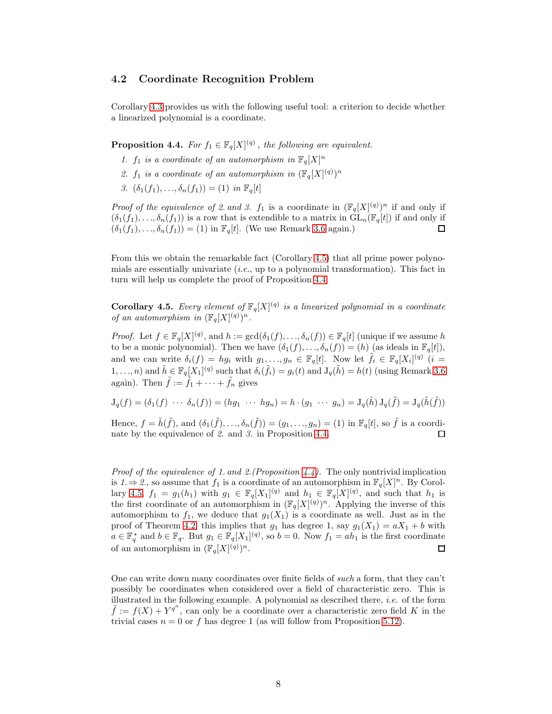#### 4.2 Coordinate Recognition Problem

Corollary [4.3](#page-6-1) provides us with the following useful tool: a criterion to decide whether a linearized polynomial is a coordinate.

<span id="page-7-0"></span>**Proposition 4.4.** For  $f_1 \in \mathbb{F}_q[X]^{(q)}$ , the following are equivalent.

- 1.  $f_1$  is a coordinate of an automorphism in  $\mathbb{F}_q[X]^n$
- 2.  $f_1$  is a coordinate of an automorphism in  $(\mathbb{F}_q[X]^{(q)})^n$
- 3.  $(\delta_1(f_1),...,\delta_n(f_1)) = (1)$  in  $\mathbb{F}_q[t]$

*Proof of the equivalence of 2. and 3.*  $f_1$  is a coordinate in  $(\mathbb{F}_q[X](q))^n$  if and only if  $(\delta_1(f_1), \ldots, \delta_n(f_1))$  is a row that is extendible to a matrix in  $GL_n(\mathbb{F}_q[t])$  if and only if  $(\delta_1(f_1), \ldots, \delta_n(f_1)) = (1)$  in  $\mathbb{F}_q[t]$ . (We use Remark [3.6](#page-5-2) again.)  $\Box$ 

From this we obtain the remarkable fact (Corollary [4.5\)](#page-7-1) that all prime power polynomials are essentially univariate  $(i.e.,$  up to a polynomial transformation). This fact in turn will help us complete the proof of Proposition [4.4.](#page-7-0)

<span id="page-7-1"></span>**Corollary 4.5.** Every element of  $\mathbb{F}_q[X]^{(q)}$  is a linearized polynomial in a coordinate of an automorphism in  $(\mathbb{F}_q[X]^{(q)})^n$ .

*Proof.* Let  $f \in \mathbb{F}_q[X]^{(q)}$ , and  $h := \gcd(\delta_1(f), \ldots, \delta_n(f)) \in \mathbb{F}_q[t]$  (unique if we assume h to be a monic polynomial). Then we have  $(\delta_1(f), \ldots, \delta_n(f)) = (h)$  (as ideals in  $\mathbb{F}_q[t]$ ), and we can write  $\delta_i(f) = hg_i$  with  $g_1, \ldots, g_n \in \mathbb{F}_q[t]$ . Now let  $\tilde{f}_i \in \mathbb{F}_q[X_i]^{(q)}$   $(i =$  $(1,\ldots,n)$  and  $\tilde{h} \in \mathbb{F}_q[X_1]^{(q)}$  such that  $\delta_i(\tilde{f}_i) = g_i(t)$  and  $J_q(\tilde{h}) = h(t)$  (using Remark [3.6](#page-5-2)) again). Then  $\tilde{f} := \tilde{f}_1 + \cdots + \tilde{f}_n$  gives

 $J_q(f)=(\delta_1(f)\ \cdots\ \delta_n(f))=(hg_1\ \cdots\ hg_n)=h\cdot(g_1\ \cdots\ g_n)=J_q(\tilde{h})\,J_q(\tilde{f})=J_q(\tilde{h}(\tilde{f}))$ 

Hence,  $f = \tilde{h}(\tilde{f})$ , and  $(\delta_1(\tilde{f}), \ldots, \delta_n(\tilde{f})) = (g_1, \ldots, g_n) = (1)$  in  $\mathbb{F}_q[t]$ , so  $\tilde{f}$  is a coordinate by the equivalence of 2. and 3. in Proposition [4.4.](#page-7-0) 口

*Proof of the equivalence of 1. and 2. (Proposition [4.4\)](#page-7-0).* The only nontrivial implication is  $1 \Rightarrow 2$ , so assume that  $f_1$  is a coordinate of an automorphism in  $\mathbb{F}_q[X]^n$ . By Corol-lary [4.5,](#page-7-1)  $f_1 = g_1(h_1)$  with  $g_1 \in \mathbb{F}_q[X_1]^{(q)}$  and  $h_1 \in \mathbb{F}_q[X]^{(q)}$ , and such that  $h_1$  is the first coordinate of an automorphism in  $(\mathbb{F}_q[X]^{(q)})^n$ . Applying the inverse of this automorphism to  $f_1$ , we deduce that  $g_1(X_1)$  is a coordinate as well. Just as in the proof of Theorem [4.2,](#page-6-0) this implies that  $g_1$  has degree 1, say  $g_1(X_1) = aX_1 + b$  with  $a \in \mathbb{F}_q^*$  and  $b \in \mathbb{F}_q$ . But  $g_1 \in \mathbb{F}_q[X_1]^{(q)}$ , so  $b = 0$ . Now  $f_1 = ah_1$  is the first coordinate of an automorphism in  $(\mathbb{F}_q[X]^{(q)})^n$ .  $\Box$ 

One can write down many coordinates over finite fields of such a form, that they can't possibly be coordinates when considered over a field of characteristic zero. This is illustrated in the following example. A polynomial as described there, *i.e.* of the form  $\tilde{f} := f(X) + Y^{q^n}$ , can only be a coordinate over a characteristic zero field K in the trivial cases  $n = 0$  or f has degree 1 (as will follow from Proposition [5.12\)](#page-17-0).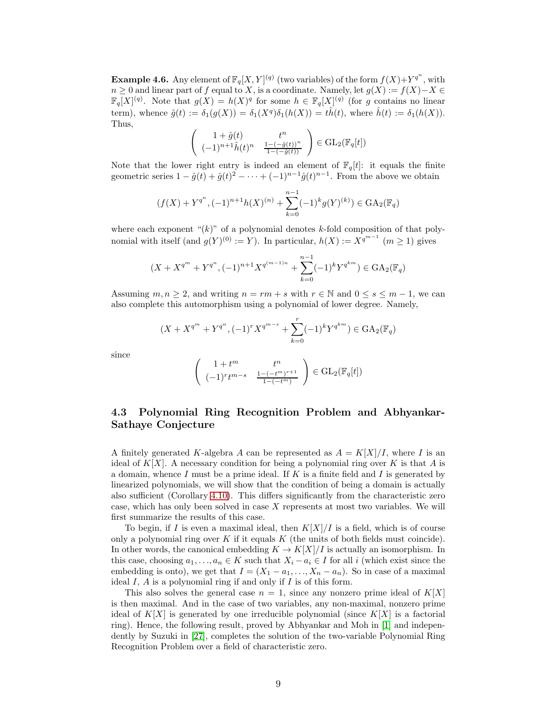**Example 4.6.** Any element of  $\mathbb{F}_q[X, Y]^{(q)}$  (two variables) of the form  $f(X) + Y^{q^n}$ , with  $n \geq 0$  and linear part of f equal to X, is a coordinate. Namely, let  $g(X) := f(X) - X \in$  $\mathbb{F}_q[X]^{(q)}$ . Note that  $g(X) = h(X)^q$  for some  $h \in \mathbb{F}_q[X]^{(q)}$  (for g contains no linear term), whence  $\hat{g}(t) := \delta_1(g(X)) = \delta_1(X^q)\delta_1(h(X)) = t\hat{h}(t)$ , where  $\hat{h}(t) := \delta_1(h(X))$ . Thus,

$$
\begin{pmatrix} 1+\hat{g}(t) & t^n \\ (-1)^{n+1}\hat{h}(t)^n & \frac{1-(-\hat{g}(t))^n}{1-(-\hat{g}(t))} \end{pmatrix} \in \text{GL}_2(\mathbb{F}_q[t])
$$

Note that the lower right entry is indeed an element of  $\mathbb{F}_q[t]$ : it equals the finite geometric series  $1 - \hat{g}(t) + \hat{g}(t)^2 - \cdots + (-1)^{n-1}\hat{g}(t)^{n-1}$ . From the above we obtain

$$
(f(X) + Y^{q^n}, (-1)^{n+1}h(X)^{(n)} + \sum_{k=0}^{n-1} (-1)^k g(Y)^{(k)}) \in \text{GA}_2(\mathbb{F}_q)
$$

where each exponent " $(k)$ " of a polynomial denotes k-fold composition of that polynomial with itself (and  $g(Y)^{(0)} := Y$ ). In particular,  $h(X) := X^{q^{m-1}}$   $(m \ge 1)$  gives

$$
(X + X^{q^m} + Y^{q^n}, (-1)^{n+1} X^{q^{(m-1)n}} + \sum_{k=0}^{n-1} (-1)^k Y^{q^{km}}) \in \text{GA}_2(\mathbb{F}_q)
$$

Assuming  $m, n \geq 2$ , and writing  $n = rm + s$  with  $r \in \mathbb{N}$  and  $0 \leq s \leq m-1$ , we can also complete this automorphism using a polynomial of lower degree. Namely,

$$
(X + X^{q^m} + Y^{q^n}, (-1)^r X^{q^{m-s}} + \sum_{k=0}^r (-1)^k Y^{q^{km}}) \in \text{GA}_2(\mathbb{F}_q)
$$

since

$$
\begin{pmatrix} 1+t^m & t^n \\ (-1)^rt^{m-s} & \frac{1-(-t^m)^{r+1}}{1-(-t^m)} \end{pmatrix} \in \text{GL}_2(\mathbb{F}_q[t])
$$

## 4.3 Polynomial Ring Recognition Problem and Abhyankar-Sathaye Conjecture

A finitely generated K-algebra A can be represented as  $A = K[X]/I$ , where I is an ideal of  $K[X]$ . A necessary condition for being a polynomial ring over K is that A is a domain, whence  $I$  must be a prime ideal. If  $K$  is a finite field and  $I$  is generated by linearized polynomials, we will show that the condition of being a domain is actually also sufficient (Corollary [4.10\)](#page-10-0). This differs significantly from the characteristic zero case, which has only been solved in case X represents at most two variables. We will first summarize the results of this case.

To begin, if I is even a maximal ideal, then  $K[X]/I$  is a field, which is of course only a polynomial ring over K if it equals  $K$  (the units of both fields must coincide). In other words, the canonical embedding  $K \to K[X]/I$  is actually an isomorphism. In this case, choosing  $a_1, \ldots, a_n \in K$  such that  $X_i - a_i \in I$  for all i (which exist since the embedding is onto), we get that  $I = (X_1 - a_1, \ldots, X_n - a_n)$ . So in case of a maximal ideal  $I, A$  is a polynomial ring if and only if  $I$  is of this form.

This also solves the general case  $n = 1$ , since any nonzero prime ideal of  $K[X]$ is then maximal. And in the case of two variables, any non-maximal, nonzero prime ideal of  $K[X]$  is generated by one irreducible polynomial (since  $K[X]$  is a factorial ring). Hence, the following result, proved by Abhyankar and Moh in [\[1\]](#page-18-9) and independently by Suzuki in [\[27\]](#page-20-2), completes the solution of the two-variable Polynomial Ring Recognition Problem over a field of characteristic zero.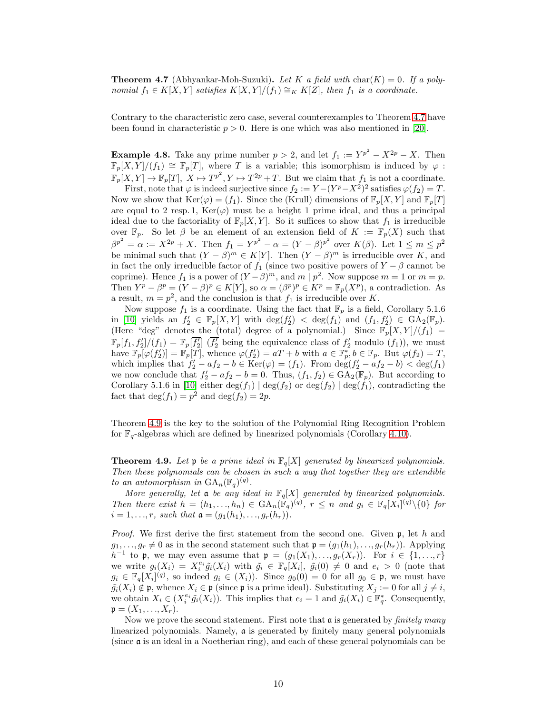<span id="page-9-0"></span>**Theorem 4.7** (Abhyankar-Moh-Suzuki). Let K a field with char(K) = 0. If a polynomial  $f_1 \in K[X, Y]$  satisfies  $K[X, Y]/(f_1) \cong_K K[Z]$ , then  $f_1$  is a coordinate.

Contrary to the characteristic zero case, several counterexamples to Theorem [4.7](#page-9-0) have been found in characteristic  $p > 0$ . Here is one which was also mentioned in [\[20\]](#page-19-13).

<span id="page-9-2"></span>**Example 4.8.** Take any prime number  $p > 2$ , and let  $f_1 := Y^{p^2} - X^{2p} - X$ . Then  $\mathbb{F}_p[X,Y]/(f_1) \cong \mathbb{F}_p[T]$ , where T is a variable; this isomorphism is induced by  $\varphi$ :  $\mathbb{F}_p[X,Y] \to \mathbb{F}_p[T], X \mapsto T^{p^2}, Y \mapsto T^{2p}+T.$  But we claim that  $f_1$  is not a coordinate.

First, note that  $\varphi$  is indeed surjective since  $f_2 := Y - (Y^p - X^2)^2$  satisfies  $\varphi(f_2) = T$ . Now we show that  $\text{Ker}(\varphi) = (f_1)$ . Since the (Krull) dimensions of  $\mathbb{F}_p[X, Y]$  and  $\mathbb{F}_p[T]$ are equal to 2 resp. 1,  $\text{Ker}(\varphi)$  must be a height 1 prime ideal, and thus a principal ideal due to the factoriality of  $\mathbb{F}_p[X, Y]$ . So it suffices to show that  $f_1$  is irreducible over  $\mathbb{F}_p$ . So let  $\beta$  be an element of an extension field of  $K := \mathbb{F}_p(X)$  such that  $\beta^{p^2} = \alpha := X^{2p} + X$ . Then  $f_1 = Y^{p^2} - \alpha = (Y - \beta)^{p^2}$  over  $K(\beta)$ . Let  $1 \leq m \leq p^2$ be minimal such that  $(Y - \beta)^m \in K[Y]$ . Then  $(Y - \beta)^m$  is irreducible over K, and in fact the only irreducible factor of  $f_1$  (since two positive powers of  $Y - \beta$  cannot be coprime). Hence  $f_1$  is a power of  $(Y - \beta)^m$ , and  $m \mid p^2$ . Now suppose  $m = 1$  or  $m = p$ . Then  $Y^p - \beta^p = (Y - \beta)^p \in K[Y]$ , so  $\alpha = (\beta^p)^p \in K^p = \mathbb{F}_p(X^p)$ , a contradiction. As a result,  $m = p^2$ , and the conclusion is that  $f_1$  is irreducible over K.

Now suppose  $f_1$  is a coordinate. Using the fact that  $\mathbb{F}_p$  is a field, Corollary 5.1.6 in [\[10\]](#page-18-0) yields an  $f_2' \in \mathbb{F}_p[X, Y]$  with  $\deg(f_2') < \deg(f_1)$  and  $(f_1, f_2') \in \text{GA}_2(\mathbb{F}_p)$ . (Here "deg" denotes the (total) degree of a polynomial.) Since  $\mathbb{F}_p[X,Y]/(f_1)$  =  $\mathbb{F}_p[f_1, f_2]/(f_1) = \mathbb{F}_p[\overline{f_2}]\ \overline{(f_2)}\ \text{being the equivalence class of } f_2' \text{ modulo } (f_1)$ , we must have  $\mathbb{F}_p[\varphi(f_2')] = \mathbb{F}_p[T]$ , whence  $\varphi(f_2') = aT + b$  with  $a \in \mathbb{F}_p^*, b \in \mathbb{F}_p$ . But  $\varphi(f_2) = T$ , which implies that  $f_2' - af_2 - b \in \text{Ker}(\varphi) = (f_1)$ . From  $\deg(f_2' - af_2 - b) < \deg(f_1)$ we now conclude that  $f_2' - af_2 - b = 0$ . Thus,  $(f_1, f_2) \in GA_2(\mathbb{F}_p)$ . But according to Corollary 5.1.6 in [\[10\]](#page-18-0) either  $\deg(f_1) | \deg(f_2)$  or  $\deg(f_2) | \deg(f_1)$ , contradicting the fact that  $\deg(f_1) = p^2$  and  $\deg(f_2) = 2p$ .

Theorem [4.9](#page-9-1) is the key to the solution of the Polynomial Ring Recognition Problem for  $\mathbb{F}_q$ -algebras which are defined by linearized polynomials (Corollary [4.10\)](#page-10-0).

<span id="page-9-1"></span>**Theorem 4.9.** Let **p** be a prime ideal in  $\mathbb{F}_q[X]$  generated by linearized polynomials. Then these polynomials can be chosen in such a way that together they are extendible to an automorphism in  $GA_n(\mathbb{F}_q)^{(q)}$ .

More generally, let **a** be any ideal in  $\mathbb{F}_q[X]$  generated by linearized polynomials. Then there exist  $h = (h_1, ..., h_n) \in \text{GA}_n(\mathbb{F}_q)^{(q)}$ ,  $r \leq n$  and  $g_i \in \mathbb{F}_q[X_i]^{(q)} \setminus \{0\}$  for  $i = 1, ..., r$ , such that  $\mathfrak{a} = (g_1(h_1), ..., g_r(h_r)).$ 

*Proof.* We first derive the first statement from the second one. Given  $\mathfrak{p}$ , let h and  $g_1, \ldots, g_r \neq 0$  as in the second statement such that  $\mathfrak{p} = (g_1(h_1), \ldots, g_r(h_r))$ . Applying  $h^{-1}$  to p, we may even assume that  $p = (g_1(X_1), \ldots, g_r(X_r))$ . For  $i \in \{1, \ldots, r\}$ we write  $g_i(X_i) = X_i^{e_i} \tilde{g}_i(X_i)$  with  $\tilde{g}_i \in \mathbb{F}_q[X_i], \tilde{g}_i(0) \neq 0$  and  $e_i > 0$  (note that  $g_i \in \mathbb{F}_q[X_i]^{(q)}$ , so indeed  $g_i \in (X_i)$ ). Since  $g_0(0) = 0$  for all  $g_0 \in \mathfrak{p}$ , we must have  $\tilde{g}_i(X_i) \notin \mathfrak{p}$ , whence  $X_i \in \mathfrak{p}$  (since  $\mathfrak{p}$  is a prime ideal). Substituting  $X_j := 0$  for all  $j \neq i$ , we obtain  $X_i \in (X_i^{e_i} \tilde{g}_i(X_i))$ . This implies that  $e_i = 1$  and  $\tilde{g}_i(X_i) \in \mathbb{F}_q^*$ . Consequently,  $\mathfrak{p} = (X_1, ..., X_r).$ 

Now we prove the second statement. First note that  $\mathfrak a$  is generated by *finitely many* linearized polynomials. Namely, a is generated by finitely many general polynomials (since a is an ideal in a Noetherian ring), and each of these general polynomials can be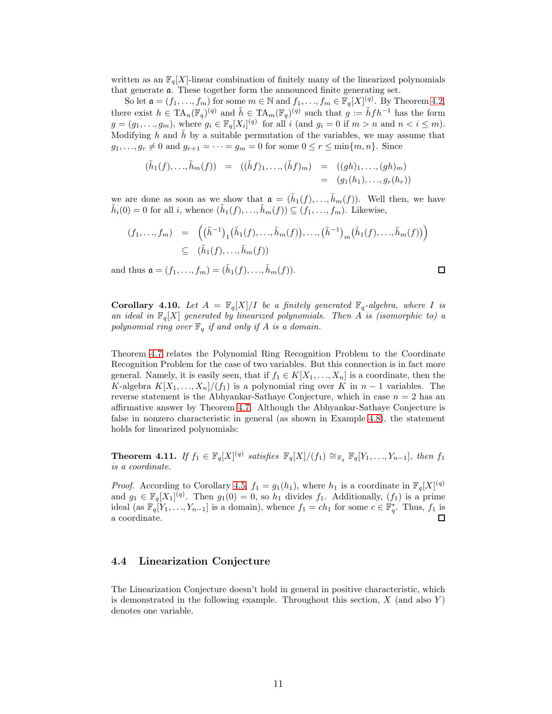written as an  $\mathbb{F}_q[X]$ -linear combination of finitely many of the linearized polynomials that generate a. These together form the announced finite generating set.

So let  $\mathfrak{a} = (f_1, \ldots, f_m)$  for some  $m \in \mathbb{N}$  and  $f_1, \ldots, f_m \in \mathbb{F}_q[X]^{(q)}$ . By Theorem [4.2,](#page-6-0) there exist  $h \in TA_n(\mathbb{F}_q)^{(q)}$  and  $\tilde{h} \in TA_m(\mathbb{F}_q)^{(q)}$  such that  $g := \tilde{h}fh^{-1}$  has the form  $g = (g_1, \ldots, g_m)$ , where  $g_i \in \mathbb{F}_q[X_i]^{(q)}$  for all i (and  $g_i = 0$  if  $m > n$  and  $n < i \leq m$ ). Modifying h and  $\tilde{h}$  by a suitable permutation of the variables, we may assume that  $g_1, \ldots, g_r \neq 0$  and  $g_{r+1} = \cdots = g_m = 0$  for some  $0 \leq r \leq \min\{m, n\}$ . Since

$$
(\tilde{h}_1(f), \ldots, \tilde{h}_m(f)) = ((\tilde{h}f)_1, \ldots, (\tilde{h}f)_m) = ((gh)_1, \ldots, (gh)_m)
$$
  
= 
$$
(g_1(h_1), \ldots, g_r(h_r))
$$

we are done as soon as we show that  $\mathfrak{a} = (\tilde{h}_1(f), \ldots, \tilde{h}_m(f))$ . Well then, we have  $\tilde{h}_i(0) = 0$  for all i, whence  $(\tilde{h}_1(f), \ldots, \tilde{h}_m(f)) \subseteq (f_1, \ldots, f_m)$ . Likewise,

$$
(f_1, ..., f_m) = ((\tilde{h}^{-1})_1(\tilde{h}_1(f), ..., \tilde{h}_m(f)), ..., (\tilde{h}^{-1})_m(\tilde{h}_1(f), ..., \tilde{h}_m(f)))
$$
  

$$
\subseteq (\tilde{h}_1(f), ..., \tilde{h}_m(f))
$$

 $\Box$ 

and thus  $\mathfrak{a} = (f_1, ..., f_m) = (\tilde{h}_1(f), ..., \tilde{h}_m(f)).$ 

<span id="page-10-0"></span>**Corollary 4.10.** Let  $A = \mathbb{F}_q[X]/I$  be a finitely generated  $\mathbb{F}_q$ -algebra, where I is an ideal in  $\mathbb{F}_q[X]$  generated by linearized polynomials. Then A is (isomorphic to) a polynomial ring over  $\mathbb{F}_q$  if and only if A is a domain.

Theorem [4.7](#page-9-0) relates the Polynomial Ring Recognition Problem to the Coordinate Recognition Problem for the case of two variables. But this connection is in fact more general. Namely, it is easily seen, that if  $f_1 \in K[X_1, \ldots, X_n]$  is a coordinate, then the K-algebra  $K[X_1, ..., X_n]/(f_1)$  is a polynomial ring over K in  $n-1$  variables. The reverse statement is the Abhyankar-Sathaye Conjecture, which in case  $n = 2$  has an affirmative answer by Theorem [4.7.](#page-9-0) Although the Abhyankar-Sathaye Conjecture is false in nonzero characteristic in general (as shown in Example [4.8\)](#page-9-2), the statement holds for linearized polynomials:

<span id="page-10-1"></span>**Theorem 4.11.** If  $f_1 \in \mathbb{F}_q[X]^{(q)}$  satisfies  $\mathbb{F}_q[X]/(f_1) \cong_{\mathbb{F}_q} \mathbb{F}_q[Y_1, \ldots, Y_{n-1}],$  then  $f_1$ is a coordinate.

*Proof.* According to Corollary [4.5,](#page-7-1)  $f_1 = g_1(h_1)$ , where  $h_1$  is a coordinate in  $\mathbb{F}_q[X]^{(q)}$ and  $g_1 \in \mathbb{F}_q[X_1]^{(q)}$ . Then  $g_1(0) = 0$ , so  $h_1$  divides  $f_1$ . Additionally,  $(f_1)$  is a prime ideal (as  $\mathbb{F}_q[Y_1,\ldots,Y_{n-1}]$  is a domain), whence  $f_1 = ch_1$  for some  $c \in \mathbb{F}_q^*$ . Thus,  $f_1$  is a coordinate.  $\Box$ 

#### 4.4 Linearization Conjecture

The Linearization Conjecture doesn't hold in general in positive characteristic, which is demonstrated in the following example. Throughout this section,  $X$  (and also  $Y$ ) denotes one variable.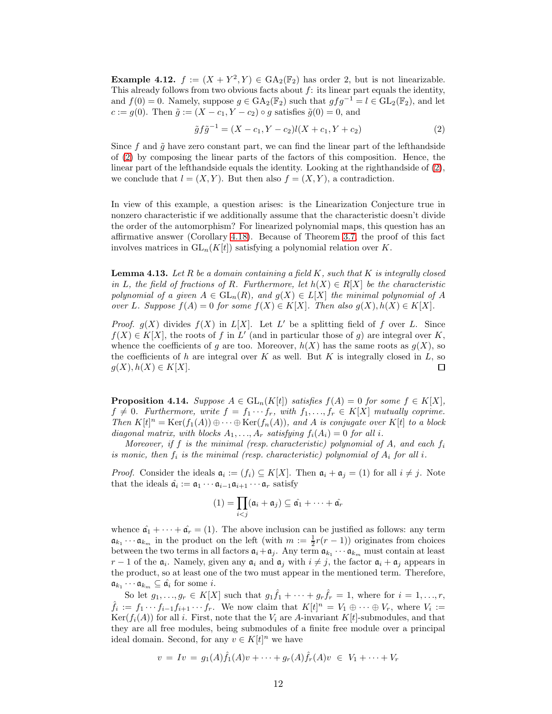**Example 4.12.**  $f := (X + Y^2, Y) \in GA_2(\mathbb{F}_2)$  has order 2, but is not linearizable. This already follows from two obvious facts about  $f$ : its linear part equals the identity, and  $f(0) = 0$ . Namely, suppose  $g \in GA_2(\mathbb{F}_2)$  such that  $gfg^{-1} = l \in GL_2(\mathbb{F}_2)$ , and let  $c := g(0)$ . Then  $\tilde{g} := (X - c_1, Y - c_2) \circ g$  satisfies  $\tilde{g}(0) = 0$ , and

<span id="page-11-0"></span>
$$
\tilde{g}f\tilde{g}^{-1} = (X - c_1, Y - c_2)l(X + c_1, Y + c_2)
$$
\n(2)

Since f and  $\tilde{g}$  have zero constant part, we can find the linear part of the lefthandside of [\(2\)](#page-11-0) by composing the linear parts of the factors of this composition. Hence, the linear part of the lefthandside equals the identity. Looking at the righthandside of [\(2\)](#page-11-0), we conclude that  $l = (X, Y)$ . But then also  $f = (X, Y)$ , a contradiction.

In view of this example, a question arises: is the Linearization Conjecture true in nonzero characteristic if we additionally assume that the characteristic doesn't divide the order of the automorphism? For linearized polynomial maps, this question has an affirmative answer (Corollary [4.18\)](#page-14-1). Because of Theorem [3.7,](#page-5-1) the proof of this fact involves matrices in  $GL_n(K[t])$  satisfying a polynomial relation over K.

<span id="page-11-1"></span>**Lemma 4.13.** Let R be a domain containing a field K, such that K is integrally closed in L, the field of fractions of R. Furthermore, let  $h(X) \in R[X]$  be the characteristic polynomial of a given  $A \in GL_n(R)$ , and  $g(X) \in L[X]$  the minimal polynomial of A over L. Suppose  $f(A) = 0$  for some  $f(X) \in K[X]$ . Then also  $g(X), h(X) \in K[X]$ .

*Proof.*  $g(X)$  divides  $f(X)$  in  $L[X]$ . Let  $L'$  be a splitting field of f over L. Since  $f(X) \in K[X]$ , the roots of f in L' (and in particular those of g) are integral over K, whence the coefficients of g are too. Moreover,  $h(X)$  has the same roots as  $g(X)$ , so the coefficients of h are integral over K as well. But K is integrally closed in  $L$ , so  $g(X), h(X) \in K[X].$  $\Box$ 

<span id="page-11-2"></span>**Proposition 4.14.** Suppose  $A \in GL_n(K[t])$  satisfies  $f(A) = 0$  for some  $f \in K[X]$ ,  $f \neq 0$ . Furthermore, write  $f = f_1 \cdots f_r$ , with  $f_1, \ldots, f_r \in K[X]$  mutually coprime. Then  $K[t]^n = \text{Ker}(f_1(A)) \oplus \cdots \oplus \text{Ker}(f_n(A))$ , and A is conjugate over  $K[t]$  to a block diagonal matrix, with blocks  $A_1, \ldots, A_r$  satisfying  $f_i(A_i) = 0$  for all i.

Moreover, if f is the minimal (resp. characteristic) polynomial of A, and each  $f_i$ is monic, then  $f_i$  is the minimal (resp. characteristic) polynomial of  $A_i$  for all i.

*Proof.* Consider the ideals  $a_i := (f_i) \subseteq K[X]$ . Then  $a_i + a_j = (1)$  for all  $i \neq j$ . Note that the ideals  $\hat{\mathfrak{a}}_i := \mathfrak{a}_1 \cdots \mathfrak{a}_{i-1} \mathfrak{a}_{i+1} \cdots \mathfrak{a}_r$  satisfy

$$
(1) = \prod_{i < j} (\mathfrak{a}_i + \mathfrak{a}_j) \subseteq \hat{\mathfrak{a}_1} + \cdots + \hat{\mathfrak{a}_r}
$$

whence  $\hat{\mathfrak{a}}_1 + \cdots + \hat{\mathfrak{a}}_r = (1)$ . The above inclusion can be justified as follows: any term  $\mathfrak{a}_{k_1} \cdots \mathfrak{a}_{k_m}$  in the product on the left (with  $m := \frac{1}{2}r(r-1)$ ) originates from choices between the two terms in all factors  $\mathfrak{a}_i + \mathfrak{a}_j$ . Any term  $\mathfrak{a}_{k_1} \cdots \mathfrak{a}_{k_m}$  must contain at least  $r-1$  of the  $\mathfrak{a}_i$ . Namely, given any  $\mathfrak{a}_i$  and  $\mathfrak{a}_j$  with  $i \neq j$ , the factor  $\mathfrak{a}_i + \mathfrak{a}_j$  appears in the product, so at least one of the two must appear in the mentioned term. Therefore,  $\mathfrak{a}_{k_1} \cdots \mathfrak{a}_{k_m} \subseteq \hat{\mathfrak{a}}_i$  for some *i*.

So let  $g_1, \ldots, g_r \in K[X]$  such that  $g_1 \hat{f}_1 + \cdots + g_r \hat{f}_r = 1$ , where for  $i = 1, \ldots, r$ ,  $\hat{f}_i := f_1 \cdots f_{i-1} f_{i+1} \cdots f_r$ . We now claim that  $K[t]^n = V_1 \oplus \cdots \oplus V_r$ , where  $V_i :=$  $Ker(f_i(A))$  for all i. First, note that the  $V_i$  are A-invariant K[t]-submodules, and that they are all free modules, being submodules of a finite free module over a principal ideal domain. Second, for any  $v \in K[t]^n$  we have

$$
v = Iv = g_1(A)\hat{f}_1(A)v + \dots + g_r(A)\hat{f}_r(A)v \in V_1 + \dots + V_r
$$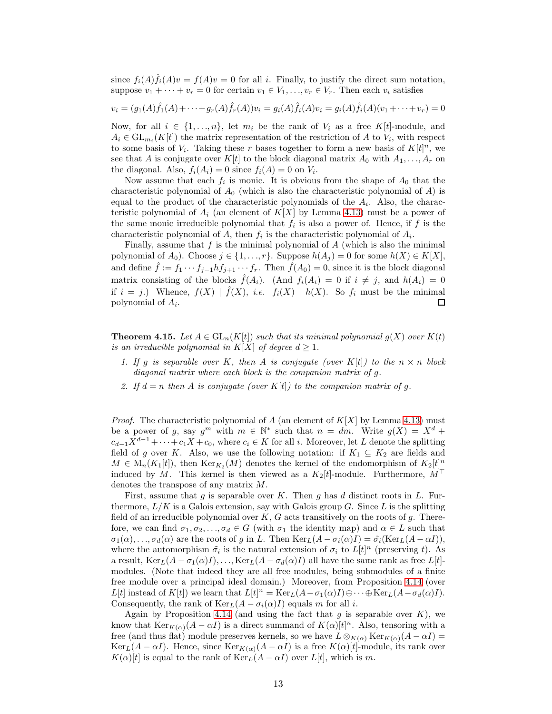since  $f_i(A)\hat{f}_i(A)v = f(A)v = 0$  for all i. Finally, to justify the direct sum notation, suppose  $v_1 + \cdots + v_r = 0$  for certain  $v_1 \in V_1, \ldots, v_r \in V_r$ . Then each  $v_i$  satisfies

$$
v_i = (g_1(A)\hat{f}_1(A) + \dots + g_r(A)\hat{f}_r(A))v_i = g_i(A)\hat{f}_i(A)v_i = g_i(A)\hat{f}_i(A)(v_1 + \dots + v_r) = 0
$$

Now, for all  $i \in \{1, ..., n\}$ , let  $m_i$  be the rank of  $V_i$  as a free K[t]-module, and  $A_i \in GL_{m_i}(K[t])$  the matrix representation of the restriction of A to  $V_i$ , with respect to some basis of  $V_i$ . Taking these r bases together to form a new basis of  $K[t]^n$ , we see that A is conjugate over  $K[t]$  to the block diagonal matrix  $A_0$  with  $A_1, \ldots, A_r$  on the diagonal. Also,  $f_i(A_i) = 0$  since  $f_i(A) = 0$  on  $V_i$ .

Now assume that each  $f_i$  is monic. It is obvious from the shape of  $A_0$  that the characteristic polynomial of  $A_0$  (which is also the characteristic polynomial of A) is equal to the product of the characteristic polynomials of the  $A_i$ . Also, the characteristic polynomial of  $A_i$  (an element of  $K[X]$  by Lemma [4.13\)](#page-11-1) must be a power of the same monic irreducible polynomial that  $f_i$  is also a power of. Hence, if  $f$  is the characteristic polynomial of A, then  $f_i$  is the characteristic polynomial of  $A_i$ .

Finally, assume that  $f$  is the minimal polynomial of  $A$  (which is also the minimal polynomial of  $A_0$ ). Choose  $j \in \{1, ..., r\}$ . Suppose  $h(A_j) = 0$  for some  $h(X) \in K[X]$ , and define  $\hat{f} := f_1 \cdots f_{j-1} h f_{j+1} \cdots f_r$ . Then  $\hat{f}(A_0) = 0$ , since it is the block diagonal matrix consisting of the blocks  $\hat{f}(A_i)$ . (And  $f_i(A_i) = 0$  if  $i \neq j$ , and  $h(A_i) = 0$ if  $i = j$ .) Whence,  $f(X) | \hat{f}(X)$ , *i.e.*  $f_i(X) | h(X)$ . So  $f_i$  must be the minimal polynomial of  $A_i$ .  $\Box$ 

<span id="page-12-0"></span>**Theorem 4.15.** Let  $A \in GL_n(K[t])$  such that its minimal polynomial  $g(X)$  over  $K(t)$ is an irreducible polynomial in  $K[X]$  of degree  $d \geq 1$ .

- 1. If g is separable over K, then A is conjugate (over K[t]) to the  $n \times n$  block diagonal matrix where each block is the companion matrix of q.
- 2. If  $d = n$  then A is conjugate (over K[t]) to the companion matrix of g.

*Proof.* The characteristic polynomial of A (an element of  $K[X]$  by Lemma [4.13\)](#page-11-1) must be a power of g, say  $g^m$  with  $m \in \mathbb{N}^*$  such that  $n = dm$ . Write  $g(X) = X^d +$  $c_{d-1}X^{d-1} + \cdots + c_1X + c_0$ , where  $c_i \in K$  for all i. Moreover, let L denote the splitting field of g over K. Also, we use the following notation: if  $K_1 \subseteq K_2$  are fields and  $M \in M_n(K_1[t])$ , then  $\text{Ker}_{K_2}(M)$  denotes the kernel of the endomorphism of  $K_2[t]^n$ induced by M. This kernel is then viewed as a  $K_2[t]$ -module. Furthermore,  $M^{\top}$ denotes the transpose of any matrix M.

First, assume that  $g$  is separable over  $K$ . Then  $g$  has  $d$  distinct roots in  $L$ . Furthermore,  $L/K$  is a Galois extension, say with Galois group G. Since L is the splitting field of an irreducible polynomial over  $K, G$  acts transitively on the roots of g. Therefore, we can find  $\sigma_1, \sigma_2, \ldots, \sigma_d \in G$  (with  $\sigma_1$  the identity map) and  $\alpha \in L$  such that  $\sigma_1(\alpha), \ldots, \sigma_d(\alpha)$  are the roots of g in L. Then  $\text{Ker}_{L}(A - \sigma_i(\alpha)I) = \tilde{\sigma}_i(\text{Ker}_{L}(A - \alpha I)),$ where the automorphism  $\tilde{\sigma}_i$  is the natural extension of  $\sigma_i$  to  $L[t]^n$  (preserving t). As a result,  $\text{Ker}_{L}(A - \sigma_{1}(\alpha)I), \ldots, \text{Ker}_{L}(A - \sigma_{d}(\alpha)I)$  all have the same rank as free  $L[t]$ modules. (Note that indeed they are all free modules, being submodules of a finite free module over a principal ideal domain.) Moreover, from Proposition [4.14](#page-11-2) (over L[t] instead of K[t]) we learn that  $L[t]^n = \text{Ker}_L(A - \sigma_1(\alpha)I) \oplus \cdots \oplus \text{Ker}_L(A - \sigma_d(\alpha)I).$ Consequently, the rank of  $\text{Ker}_{L}(A - \sigma_i(\alpha)I)$  equals m for all i.

Again by Proposition [4.14](#page-11-2) (and using the fact that  $g$  is separable over  $K$ ), we know that  $\text{Ker}_{K(\alpha)}(A - \alpha I)$  is a direct summand of  $K(\alpha)[t]^n$ . Also, tensoring with a free (and thus flat) module preserves kernels, so we have  $L \otimes_{K(\alpha)} \text{Ker}_{K(\alpha)}(A - \alpha I) =$  $\text{Ker}_{L}(A - \alpha I)$ . Hence, since  $\text{Ker}_{K(\alpha)}(A - \alpha I)$  is a free  $K(\alpha)[t]$ -module, its rank over  $K(\alpha)[t]$  is equal to the rank of  $\text{Ker}_{L}(A - \alpha I)$  over  $L[t]$ , which is m.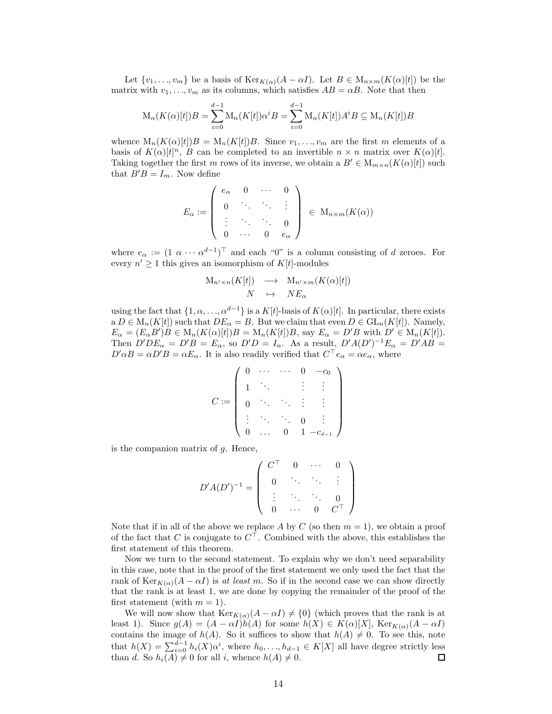Let  $\{v_1, \ldots, v_m\}$  be a basis of  $\text{Ker}_{K(\alpha)}(A - \alpha I)$ . Let  $B \in M_{n \times m}(K(\alpha)[t])$  be the matrix with  $v_1, \ldots, v_m$  as its columns, which satisfies  $AB = \alpha B$ . Note that then

$$
M_n(K(\alpha)[t])B = \sum_{i=0}^{d-1} M_n(K[t])\alpha^i B = \sum_{i=0}^{d-1} M_n(K[t])A^i B \subseteq M_n(K[t])B
$$

whence  $M_n(K(\alpha)[t])B = M_n(K[t])B$ . Since  $v_1, \ldots, v_m$  are the first m elements of a basis of  $K(\alpha)[t]^n$ , B can be completed to an invertible  $n \times n$  matrix over  $K(\alpha)[t]$ . Taking together the first m rows of its inverse, we obtain a  $B' \in M_{m \times n}(K(\alpha)[t])$  such that  $B'B = I_m$ . Now define

$$
E_{\alpha} := \left( \begin{array}{cccc} e_{\alpha} & 0 & \cdots & 0 \\ 0 & \ddots & \ddots & \vdots \\ \vdots & \ddots & \ddots & 0 \\ 0 & \cdots & 0 & e_{\alpha} \end{array} \right) \in \mathcal{M}_{n \times m}(K(\alpha))
$$

where  $e_{\alpha} := (1 \alpha \cdots \alpha^{d-1})^{\top}$  and each "0" is a column consisting of d zeroes. For every  $n' \geq 1$  this gives an isomorphism of  $K[t]$ -modules

$$
M_{n' \times n}(K[t]) \longrightarrow M_{n' \times m}(K(\alpha)[t])
$$
  

$$
N \longrightarrow N E_{\alpha}
$$

using the fact that  $\{1, \alpha, \ldots, \alpha^{d-1}\}\$  is a  $K[t]$ -basis of  $K(\alpha)[t]$ . In particular, there exists  $a D \in M_n(K[t])$  such that  $DE_\alpha = B$ . But we claim that even  $D \in GL_n(K[t])$ . Namely,  $E_{\alpha} = (E_{\alpha}B')B \in M_n(K(\alpha)[t])B = M_n(K[t])B$ , say  $E_{\alpha} = D'B$  with  $D' \in M_n(K[t])$ . Then  $D'DE_{\alpha} = D'B = E_{\alpha}$ , so  $D'D = I_n$ . As a result,  $D'A(D')^{-1}E_{\alpha} = D'AB$  $D'\alpha B = \alpha D'B = \alpha E_\alpha$ . It is also readily verified that  $C^\top e_\alpha = \alpha e_\alpha$ , where

$$
C := \left( \begin{array}{cccc} 0 & \cdots & \cdots & 0 & -c_0 \\ 1 & \ddots & & \vdots & \vdots \\ 0 & \ddots & \ddots & \vdots & \vdots \\ \vdots & \ddots & \ddots & 0 & \vdots \\ 0 & \cdots & 0 & 1 & -c_{d-1} \end{array} \right)
$$

is the companion matrix of  $g$ . Hence,

$$
D'A(D')^{-1} = \left( \begin{array}{cccc} C^{\top} & 0 & \cdots & 0 \\ 0 & \ddots & \ddots & \vdots \\ \vdots & \ddots & \ddots & 0 \\ 0 & \cdots & 0 & C^{\top} \end{array} \right)
$$

Note that if in all of the above we replace A by C (so then  $m = 1$ ), we obtain a proof of the fact that C is conjugate to  $C^{\top}$ . Combined with the above, this establishes the first statement of this theorem.

Now we turn to the second statement. To explain why we don't need separability in this case, note that in the proof of the first statement we only used the fact that the rank of  $\text{Ker}_{K(\alpha)}(A-\alpha I)$  is at least m. So if in the second case we can show directly that the rank is at least 1, we are done by copying the remainder of the proof of the first statement (with  $m = 1$ ).

We will now show that  $\text{Ker}_{K(\alpha)}(A - \alpha I) \neq \{0\}$  (which proves that the rank is at least 1). Since  $g(A) = (A - \alpha I)h(A)$  for some  $h(X) \in K(\alpha)[X]$ ,  $\text{Ker}_{K(\alpha)}(A - \alpha I)$ contains the image of  $h(A)$ . So it suffices to show that  $h(A) \neq 0$ . To see this, note that  $h(X) = \sum_{i=0}^{d-1} h_i(X) \alpha^i$ , where  $h_0, \ldots, h_{d-1} \in K[X]$  all have degree strictly less than d. So  $h_i(A) \neq 0$  for all i, whence  $h(A) \neq 0$ .  $\Box$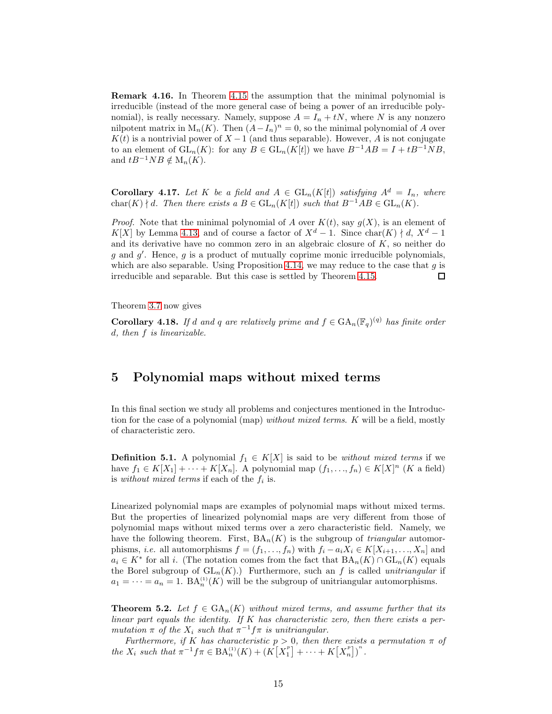Remark 4.16. In Theorem [4.15](#page-12-0) the assumption that the minimal polynomial is irreducible (instead of the more general case of being a power of an irreducible polynomial), is really necessary. Namely, suppose  $A = I_n + tN$ , where N is any nonzero nilpotent matrix in  $M_n(K)$ . Then  $(A - I_n)^n = 0$ , so the minimal polynomial of A over  $K(t)$  is a nontrivial power of  $X-1$  (and thus separable). However, A is not conjugate to an element of  $GL_n(K)$ : for any  $B \in GL_n(K[t])$  we have  $B^{-1}AB = I + tB^{-1}NB$ , and  $tB^{-1}NB \notin M_n(K)$ .

**Corollary 4.17.** Let K be a field and  $A \in GL_n(K[t])$  satisfying  $A^d = I_n$ , where char(K)  $\nmid d$ . Then there exists a  $B \in GL_n(K[t])$  such that  $B^{-1}AB \in GL_n(K)$ .

*Proof.* Note that the minimal polynomial of A over  $K(t)$ , say  $g(X)$ , is an element of K[X] by Lemma [4.13,](#page-11-1) and of course a factor of  $X^d - 1$ . Since char(K)  $\nmid d, X^d - 1$ and its derivative have no common zero in an algebraic closure of  $K$ , so neither do g and g'. Hence, g is a product of mutually coprime monic irreducible polynomials, which are also separable. Using Proposition [4.14,](#page-11-2) we may reduce to the case that  $g$  is irreducible and separable. But this case is settled by Theorem [4.15.](#page-12-0)  $\Box$ 

Theorem [3.7](#page-5-1) now gives

<span id="page-14-1"></span>**Corollary 4.18.** If d and q are relatively prime and  $f \in GA_n(\mathbb{F}_q)^{(q)}$  has finite order d, then f is linearizable.

## <span id="page-14-0"></span>5 Polynomial maps without mixed terms

In this final section we study all problems and conjectures mentioned in the Introduction for the case of a polynomial (map) without mixed terms. K will be a field, mostly of characteristic zero.

**Definition 5.1.** A polynomial  $f_1 \in K[X]$  is said to be *without mixed terms* if we have  $f_1 \in K[X_1] + \cdots + K[X_n]$ . A polynomial map  $(f_1, \ldots, f_n) \in K[X]^n$  (K a field) is *without mixed terms* if each of the  $f_i$  is.

Linearized polynomial maps are examples of polynomial maps without mixed terms. But the properties of linearized polynomial maps are very different from those of polynomial maps without mixed terms over a zero characteristic field. Namely, we have the following theorem. First,  $BA_n(K)$  is the subgroup of *triangular* automorphisms, *i.e.* all automorphisms  $f = (f_1, \ldots, f_n)$  with  $f_i - a_i X_i \in K[X_{i+1}, \ldots, X_n]$  and  $a_i \in K^*$  for all i. (The notation comes from the fact that  $BA_n(K) \cap GL_n(K)$  equals the Borel subgroup of  $GL_n(K)$ .) Furthermore, such an f is called *unitriangular* if  $a_1 = \cdots = a_n = 1$ .  $BA_n^{(1)}(K)$  will be the subgroup of unitriangular automorphisms.

<span id="page-14-2"></span>**Theorem 5.2.** Let  $f \in \text{GA}_n(K)$  without mixed terms, and assume further that its linear part equals the identity. If  $K$  has characteristic zero, then there exists a permutation  $\pi$  of the  $X_i$  such that  $\pi^{-1}f\pi$  is unitriangular.

Furthermore, if K has characteristic  $p > 0$ , then there exists a permutation  $\pi$  of the  $X_i$  such that  $\pi^{-1} f \pi \in BA_n^{(1)}(K) + (K[X_1^p] + \cdots + K[X_n^p])^n$ .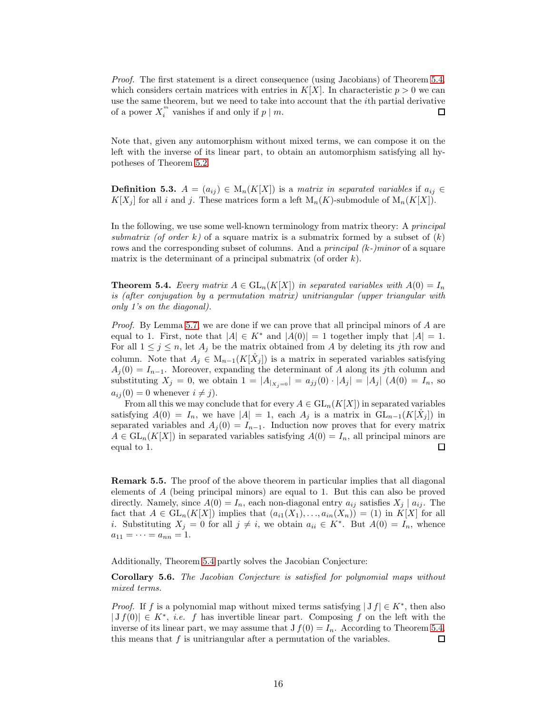Proof. The first statement is a direct consequence (using Jacobians) of Theorem [5.4,](#page-15-0) which considers certain matrices with entries in  $K[X]$ . In characteristic  $p > 0$  we can use the same theorem, but we need to take into account that the ith partial derivative of a power  $X_i^m$  vanishes if and only if  $p \mid m$ .  $\Box$ 

Note that, given any automorphism without mixed terms, we can compose it on the left with the inverse of its linear part, to obtain an automorphism satisfying all hypotheses of Theorem [5.2.](#page-14-2)

**Definition 5.3.**  $A = (a_{ij}) \in M_n(K[X])$  is a matrix in separated variables if  $a_{ij} \in$  $K[X_j]$  for all i and j. These matrices form a left  $M_n(K)$ -submodule of  $M_n(K[X])$ .

In the following, we use some well-known terminology from matrix theory: A principal submatrix (of order k) of a square matrix is a submatrix formed by a subset of  $(k)$ rows and the corresponding subset of columns. And a *principal*  $(k-)minor$  of a square matrix is the determinant of a principal submatrix (of order  $k$ ).

<span id="page-15-0"></span>**Theorem 5.4.** Every matrix  $A \in GL_n(K[X])$  in separated variables with  $A(0) = I_n$ is (after conjugation by a permutation matrix) unitriangular (upper triangular with only 1's on the diagonal).

Proof. By Lemma [5.7,](#page-16-0) we are done if we can prove that all principal minors of A are equal to 1. First, note that  $|A| \in K^*$  and  $|A(0)| = 1$  together imply that  $|A| = 1$ . For all  $1 \leq j \leq n$ , let  $A_j$  be the matrix obtained from A by deleting its jth row and column. Note that  $A_j \in M_{n-1}(K[\hat{X}_j])$  is a matrix in seperated variables satisfying  $A_j(0) = I_{n-1}$ . Moreover, expanding the determinant of A along its jth column and substituting  $X_j = 0$ , we obtain  $1 = |A_{|X_i=0}| = a_{jj}(0) \cdot |A_j| = |A_j|$   $(A(0) = I_n)$ , so  $a_{ij}(0) = 0$  whenever  $i \neq j$ .

From all this we may conclude that for every  $A \in GL_n(K[X])$  in separated variables satisfying  $A(0) = I_n$ , we have  $|A| = 1$ , each  $A_j$  is a matrix in  $GL_{n-1}(K[\hat{X}_j])$  in separated variables and  $A_j(0) = I_{n-1}$ . Induction now proves that for every matrix  $A \in GL_n(K[X])$  in separated variables satisfying  $A(0) = I_n$ , all principal minors are equal to 1.  $\Box$ 

Remark 5.5. The proof of the above theorem in particular implies that all diagonal elements of A (being principal minors) are equal to 1. But this can also be proved directly. Namely, since  $A(0) = I_n$ , each non-diagonal entry  $a_{ij}$  satisfies  $X_j | a_{ij}$ . The fact that  $A \in GL_n(K[X])$  implies that  $(a_{i1}(X_1),...,a_{in}(X_n)) = (1)$  in  $K[X]$  for all *i*. Substituting  $X_j = 0$  for all  $j \neq i$ , we obtain  $a_{ii} \in K^*$ . But  $A(0) = I_n$ , whence  $a_{11} = \cdots = a_{nn} = 1.$ 

Additionally, Theorem [5.4](#page-15-0) partly solves the Jacobian Conjecture:

Corollary 5.6. The Jacobian Conjecture is satisfied for polynomial maps without mixed terms.

*Proof.* If f is a polynomial map without mixed terms satisfying  $|Jf| \in K^*$ , then also  $|Jf(0)| \in K^*$ , *i.e.* f has invertible linear part. Composing f on the left with the inverse of its linear part, we may assume that  $J f(0) = I_n$ . According to Theorem [5.4,](#page-15-0) this means that  $f$  is unitriangular after a permutation of the variables.  $\Box$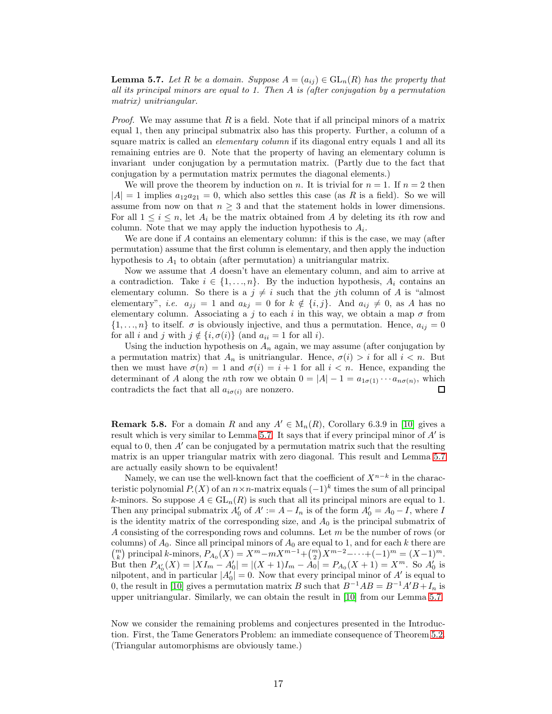<span id="page-16-0"></span>**Lemma 5.7.** Let R be a domain. Suppose  $A = (a_{ij}) \in GL_n(R)$  has the property that all its principal minors are equal to 1. Then  $A$  is (after conjugation by a permutation matrix) unitriangular.

*Proof.* We may assume that  $R$  is a field. Note that if all principal minors of a matrix equal 1, then any principal submatrix also has this property. Further, a column of a square matrix is called an *elementary column* if its diagonal entry equals 1 and all its remaining entries are 0. Note that the property of having an elementary column is invariant under conjugation by a permutation matrix. (Partly due to the fact that conjugation by a permutation matrix permutes the diagonal elements.)

We will prove the theorem by induction on n. It is trivial for  $n = 1$ . If  $n = 2$  then  $|A| = 1$  implies  $a_{12}a_{21} = 0$ , which also settles this case (as R is a field). So we will assume from now on that  $n \geq 3$  and that the statement holds in lower dimensions. For all  $1 \leq i \leq n$ , let  $A_i$  be the matrix obtained from A by deleting its *i*th row and column. Note that we may apply the induction hypothesis to  $A_i$ .

We are done if A contains an elementary column: if this is the case, we may (after permutation) assume that the first column is elementary, and then apply the induction hypothesis to  $A_1$  to obtain (after permutation) a unitriangular matrix.

Now we assume that A doesn't have an elementary column, and aim to arrive at a contradiction. Take  $i \in \{1, ..., n\}$ . By the induction hypothesis,  $A_i$  contains an elementary column. So there is a  $j \neq i$  such that the jth column of A is "almost" elementary", *i.e.*  $a_{jj} = 1$  and  $a_{kj} = 0$  for  $k \notin \{i, j\}$ . And  $a_{ij} \neq 0$ , as A has no elementary column. Associating a j to each i in this way, we obtain a map  $\sigma$  from  $\{1,\ldots,n\}$  to itself.  $\sigma$  is obviously injective, and thus a permutation. Hence,  $a_{ij}=0$ for all i and j with  $j \notin \{i, \sigma(i)\}\$  (and  $a_{ii} = 1$  for all i).

Using the induction hypothesis on  $A_n$  again, we may assume (after conjugation by a permutation matrix) that  $A_n$  is unitriangular. Hence,  $\sigma(i) > i$  for all  $i < n$ . But then we must have  $\sigma(n) = 1$  and  $\sigma(i) = i + 1$  for all  $i < n$ . Hence, expanding the determinant of A along the nth row we obtain  $0 = |A| - 1 = a_{1\sigma(1)} \cdots a_{n\sigma(n)}$ , which contradicts the fact that all  $a_{i\sigma(i)}$  are nonzero.  $\Box$ 

**Remark 5.8.** For a domain R and any  $A' \in M_n(R)$ , Corollary 6.3.9 in [\[10\]](#page-18-0) gives a result which is very similar to Lemma [5.7.](#page-16-0) It says that if every principal minor of A' is equal to 0, then  $A'$  can be conjugated by a permutation matrix such that the resulting matrix is an upper triangular matrix with zero diagonal. This result and Lemma [5.7](#page-16-0) are actually easily shown to be equivalent!

Namely, we can use the well-known fact that the coefficient of  $X^{n-k}$  in the characteristic polynomial  $P(X)$  of an  $n \times n$ -matrix equals  $(-1)^k$  times the sum of all principal k-minors. So suppose  $A \in GL_n(R)$  is such that all its principal minors are equal to 1. Then any principal submatrix  $A'_0$  of  $A' := A - I_n$  is of the form  $A'_0 = A_0 - I$ , where I is the identity matrix of the corresponding size, and  $A_0$  is the principal submatrix of A consisting of the corresponding rows and columns. Let m be the number of rows (or columns) of  $A_0$ . Since all principal minors of  $A_0$  are equal to 1, and for each k there are  $\binom{m}{k}$  principal k-minors,  $P_{A_0}(X) = X^m - mX^{m-1} + \binom{m}{2}X^{m-2} - \cdots + (-1)^m = (X-1)^m$ . But then  $P_{A'_0}(X) = |XI_m - A'_0| = |(X+1)I_m - A_0| = P_{A_0}(X+1) = X^m$ . So  $A'_0$  is nilpotent, and in particular  $|A'_0| = 0$ . Now that every principal minor of  $A'$  is equal to 0, the result in [\[10\]](#page-18-0) gives a permutation matrix B such that  $B^{-1}AB = B^{-1}A'B + I_n$  is upper unitriangular. Similarly, we can obtain the result in [\[10\]](#page-18-0) from our Lemma [5.7.](#page-16-0)

Now we consider the remaining problems and conjectures presented in the Introduction. First, the Tame Generators Problem: an immediate consequence of Theorem [5.2.](#page-14-2) (Triangular automorphisms are obviously tame.)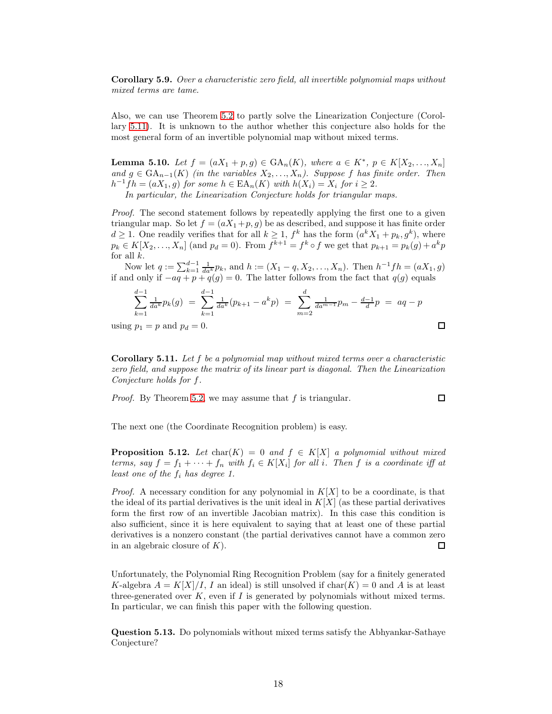Corollary 5.9. Over a characteristic zero field, all invertible polynomial maps without mixed terms are tame.

Also, we can use Theorem [5.2](#page-14-2) to partly solve the Linearization Conjecture (Corollary [5.11\)](#page-17-1). It is unknown to the author whether this conjecture also holds for the most general form of an invertible polynomial map without mixed terms.

**Lemma 5.10.** Let  $f = (aX_1 + p, g) \in \text{GA}_n(K)$ , where  $a \in K^*$ ,  $p \in K[X_2, ..., X_n]$ and  $g \in \text{GA}_{n-1}(K)$  (in the variables  $X_2, \ldots, X_n$ ). Suppose f has finite order. Then  $h^{-1}fh = (aX_1, g)$  for some  $h \in \text{EA}_n(K)$  with  $h(X_i) = X_i$  for  $i \geq 2$ . In particular, the Linearization Conjecture holds for triangular maps.

Proof. The second statement follows by repeatedly applying the first one to a given triangular map. So let  $f = (aX_1 + p, g)$  be as described, and suppose it has finite order  $d \geq 1$ . One readily verifies that for all  $k \geq 1$ ,  $f^k$  has the form  $(a^k X_1 + p_k, g^k)$ , where  $p_k \in K[X_2, ..., X_n]$  (and  $p_d = 0$ ). From  $f^{k+1} = f^k \circ f$  we get that  $p_{k+1} = p_k(g) + a^k p$ for all  $k$ .

Now let  $q := \sum_{k=1}^{d-1} \frac{1}{da^k} p_k$ , and  $h := (X_1 - q, X_2, \ldots, X_n)$ . Then  $h^{-1}fh = (aX_1, g)$ if and only if  $-aq + p + q(q) = 0$ . The latter follows from the fact that  $q(q)$  equals

$$
\sum_{k=1}^{d-1} \frac{1}{da^k} p_k(g) = \sum_{k=1}^{d-1} \frac{1}{da^k} (p_{k+1} - a^k p) = \sum_{m=2}^{d} \frac{1}{da^{m-1}} p_m - \frac{d-1}{d} p = aq - p
$$
  
g  $p_1 = p$  and  $p_d = 0$ .

using  $p_1 = p$  and  $p_d$ 

<span id="page-17-1"></span>Corollary 5.11. Let f be a polynomial map without mixed terms over a characteristic zero field, and suppose the matrix of its linear part is diagonal. Then the Linearization Conjecture holds for f.

 $\Box$ 

Proof. By Theorem [5.2,](#page-14-2) we may assume that f is triangular.

The next one (the Coordinate Recognition problem) is easy.

<span id="page-17-0"></span>**Proposition 5.12.** Let  $char(K) = 0$  and  $f \in K[X]$  a polynomial without mixed terms, say  $f = f_1 + \cdots + f_n$  with  $f_i \in K[X_i]$  for all i. Then f is a coordinate iff at least one of the  $f_i$  has degree 1.

*Proof.* A necessary condition for any polynomial in  $K[X]$  to be a coordinate, is that the ideal of its partial derivatives is the unit ideal in  $K[X]$  (as these partial derivatives form the first row of an invertible Jacobian matrix). In this case this condition is also sufficient, since it is here equivalent to saying that at least one of these partial derivatives is a nonzero constant (the partial derivatives cannot have a common zero in an algebraic closure of  $K$ ).  $\Box$ 

Unfortunately, the Polynomial Ring Recognition Problem (say for a finitely generated K-algebra  $A = K[X]/I$ , I an ideal) is still unsolved if  $char(K) = 0$  and A is at least three-generated over  $K$ , even if  $I$  is generated by polynomials without mixed terms. In particular, we can finish this paper with the following question.

Question 5.13. Do polynomials without mixed terms satisfy the Abhyankar-Sathaye Conjecture?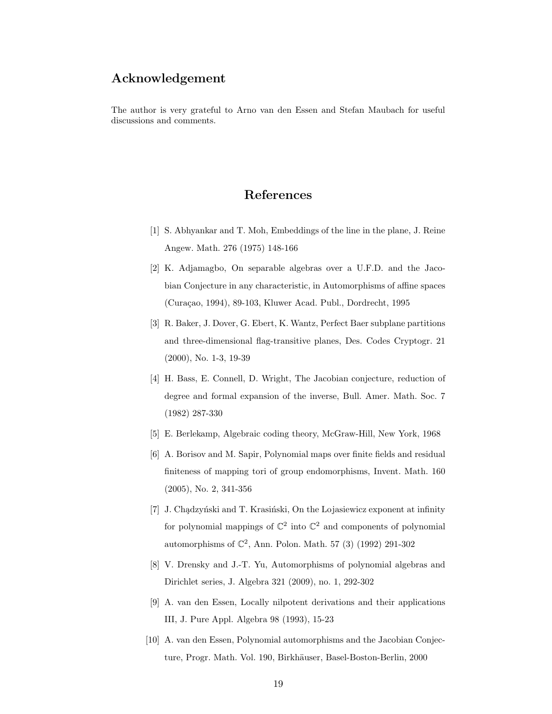## Acknowledgement

The author is very grateful to Arno van den Essen and Stefan Maubach for useful discussions and comments.

## References

- <span id="page-18-9"></span><span id="page-18-1"></span>[1] S. Abhyankar and T. Moh, Embeddings of the line in the plane, J. Reine Angew. Math. 276 (1975) 148-166
- [2] K. Adjamagbo, On separable algebras over a U.F.D. and the Jacobian Conjecture in any characteristic, in Automorphisms of affine spaces (Curaçao, 1994), 89-103, Kluwer Acad. Publ., Dordrecht, 1995
- <span id="page-18-8"></span>[3] R. Baker, J. Dover, G. Ebert, K. Wantz, Perfect Baer subplane partitions and three-dimensional flag-transitive planes, Des. Codes Cryptogr. 21 (2000), No. 1-3, 19-39
- <span id="page-18-4"></span>[4] H. Bass, E. Connell, D. Wright, The Jacobian conjecture, reduction of degree and formal expansion of the inverse, Bull. Amer. Math. Soc. 7 (1982) 287-330
- <span id="page-18-7"></span><span id="page-18-2"></span>[5] E. Berlekamp, Algebraic coding theory, McGraw-Hill, New York, 1968
- [6] A. Borisov and M. Sapir, Polynomial maps over finite fields and residual finiteness of mapping tori of group endomorphisms, Invent. Math. 160 (2005), No. 2, 341-356
- <span id="page-18-5"></span>[7] J. Chądzyński and T. Krasiński, On the Lojasiewicz exponent at infinity for polynomial mappings of  $\mathbb{C}^2$  into  $\mathbb{C}^2$  and components of polynomial automorphisms of C 2 , Ann. Polon. Math. 57 (3) (1992) 291-302
- <span id="page-18-6"></span><span id="page-18-3"></span>[8] V. Drensky and J.-T. Yu, Automorphisms of polynomial algebras and Dirichlet series, J. Algebra 321 (2009), no. 1, 292-302
- [9] A. van den Essen, Locally nilpotent derivations and their applications III, J. Pure Appl. Algebra 98 (1993), 15-23
- <span id="page-18-0"></span>[10] A. van den Essen, Polynomial automorphisms and the Jacobian Conjecture, Progr. Math. Vol. 190, Birkhäuser, Basel-Boston-Berlin, 2000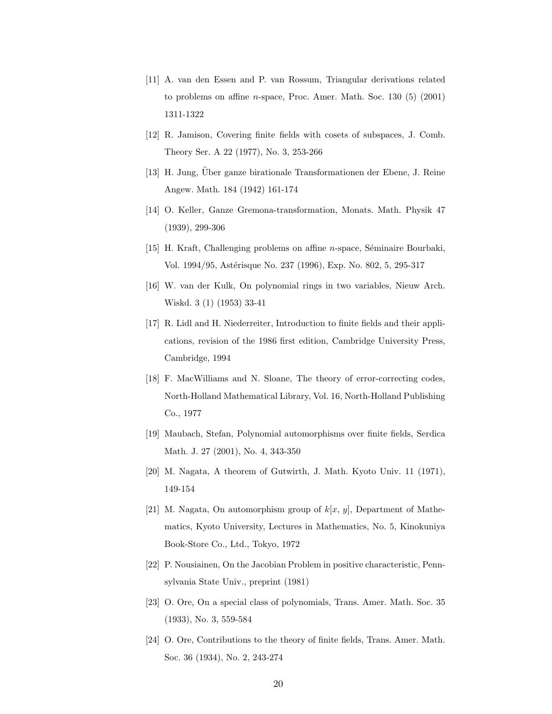- <span id="page-19-10"></span><span id="page-19-0"></span>[11] A. van den Essen and P. van Rossum, Triangular derivations related to problems on affine n-space, Proc. Amer. Math. Soc. 130 (5) (2001) 1311-1322
- <span id="page-19-6"></span>[12] R. Jamison, Covering finite fields with cosets of subspaces, J. Comb. Theory Ser. A 22 (1977), No. 3, 253-266
- <span id="page-19-9"></span>[13] H. Jung, Über ganze birationale Transformationen der Ebene, J. Reine Angew. Math. 184 (1942) 161-174
- <span id="page-19-1"></span>[14] O. Keller, Ganze Gremona-transformation, Monats. Math. Physik 47 (1939), 299-306
- <span id="page-19-7"></span>[15] H. Kraft, Challenging problems on affine *n*-space, Séminaire Bourbaki, Vol. 1994/95, Astérisque No. 237 (1996), Exp. No. 802, 5, 295-317
- <span id="page-19-11"></span>[16] W. van der Kulk, On polynomial rings in two variables, Nieuw Arch. Wiskd. 3 (1) (1953) 33-41
- [17] R. Lidl and H. Niederreiter, Introduction to finite fields and their applications, revision of the 1986 first edition, Cambridge University Press, Cambridge, 1994
- <span id="page-19-12"></span>[18] F. MacWilliams and N. Sloane, The theory of error-correcting codes, North-Holland Mathematical Library, Vol. 16, North-Holland Publishing Co., 1977
- <span id="page-19-13"></span><span id="page-19-2"></span>[19] Maubach, Stefan, Polynomial automorphisms over finite fields, Serdica Math. J. 27 (2001), No. 4, 343-350
- <span id="page-19-8"></span>[20] M. Nagata, A theorem of Gutwirth, J. Math. Kyoto Univ. 11 (1971), 149-154
- [21] M. Nagata, On automorphism group of  $k[x, y]$ , Department of Mathematics, Kyoto University, Lectures in Mathematics, No. 5, Kinokuniya Book-Store Co., Ltd., Tokyo, 1972
- <span id="page-19-4"></span><span id="page-19-3"></span>[22] P. Nousiainen, On the Jacobian Problem in positive characteristic, Pennsylvania State Univ., preprint (1981)
- <span id="page-19-5"></span>[23] O. Ore, On a special class of polynomials, Trans. Amer. Math. Soc. 35 (1933), No. 3, 559-584
- [24] O. Ore, Contributions to the theory of finite fields, Trans. Amer. Math. Soc. 36 (1934), No. 2, 243-274